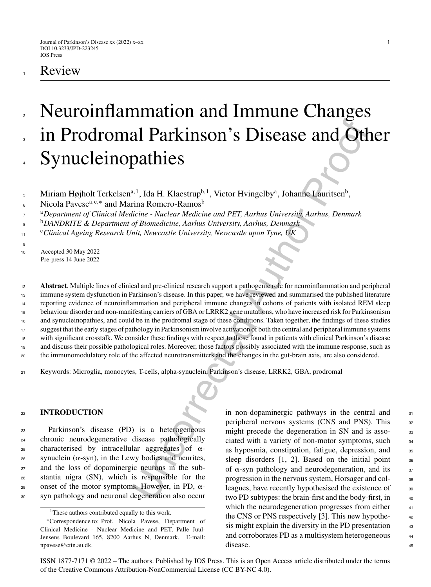# **Review**

## Neuroinflammation and Immune Changes in Prodromal Parkinson's Disease and Other Synucleinopathies 2 3 4

Miriam Højholt Terkelsen<sup>a, 1</sup>, Ida H. Klaestrup<sup>b, 1</sup>, Victor Hvingelby<sup>a</sup>, Johanne Lauritsen<sup>b</sup>, 5

<sup>a</sup> <sup>7</sup> *Department of Clinical Medicine - Nuclear Medicine and PET, Aarhus University, Aarhus, Denmark*

<sup>b</sup> <sup>8</sup> *DANDRITE & Department of Biomedicine, Aarhus University, Aarhus, Denmark*

<sup>c</sup>*Clinical Ageing Research Unit, Newcastle University, Newcastle upon Tyne, UK* 11

<sup>10</sup> Accepted 30 May 2022 Pre-press 14 June 2022

9

all **Parkinson's Disease and Other**<br>
21.1 Ja H. Klaestrup<sup>b.1</sup>, Victor Hvingelby<sup>a</sup>, Johanne Lauritsen<sup>b</sup>,<br>
<sup>a.1</sup>, Ida H. Klaestrup<sup>b.1</sup>, Victor Hvingelby<sup>a</sup>, Johanne Lauritsen<sup>b</sup>,<br> *differe - Nuclear Medicine and PET, Aa* **Abstract**. Multiple lines of clinical and pre-clinical research support a pathogenic role for neuroinflammation and peripheral immune system dysfunction in Parkinson's disease. In this paper, we have reviewed and summarised the published literature reporting evidence of neuroinflammation and peripheral immune changes in cohorts of patients with isolated REM sleep behaviour disorder and non-manifesting carriers of GBA or LRRK2 gene mutations, who have increased risk for Parkinsonism and synucleinopathies, and could be in the prodromal stage of these conditions. Taken together, the findings of these studies suggest that the early stages of pathology in Parkinsonism involve activation of both the central and peripheral immune systems with significant crosstalk. We consider these findings with respect to those found in patients with clinical Parkinson's disease and discuss their possible pathological roles. Moreover, those factors possibly associated with the immune response, such as the immunomodulatory role of the affected neurotransmitters and the changes in the gut-brain axis, are also considered. 12 13 14 15 16 17 18 19 20

<sup>21</sup> Keywords: Microglia, monocytes, T-cells, alpha-synuclein, Parkinson's disease, LRRK2, GBA, prodromal

## <sup>22</sup> **INTRODUCTION**

 Parkinson's disease (PD) is a heterogeneous chronic neurodegenerative disease pathologically  $_{25}$  characterised by intracellular aggregates of  $\alpha$ - synuclein (α-syn), in the Lewy bodies and neurites, and the loss of dopaminergic neurons in the sub- stantia nigra (SN), which is responsible for the 29 onset of the motor symptoms. However, in PD,  $\alpha$ -syn pathology and neuronal degeneration also occur in non-dopaminergic pathways in the central and  $\frac{31}{21}$ peripheral nervous systems (CNS and PNS). This 32 might precede the degeneration in SN and is asso-<br>33 ciated with a variety of non-motor symptoms, such <sup>34</sup> as hyposmia, constipation, fatigue, depression, and 35 sleep disorders  $[1, 2]$ . Based on the initial point  $\overline{\phantom{a}}$  36 of  $\alpha$ -syn pathology and neurodegeneration, and its  $\alpha$ progression in the nervous system, Horsager and col- 38 leagues, have recently hypothesised the existence of 39 two PD subtypes: the brain-first and the body-first, in 40 which the neurodegeneration progresses from either  $41$ the CNS or PNS respectively [3]. This new hypothe- <sup>42</sup> sis might explain the diversity in the PD presentation  $43$ and corroborates PD as a multisystem heterogeneous  $44$ disease. 45

ISSN 1877-7171 © 2022 – The authors. Published by IOS Press. This is an Open Access article distributed under the terms of the [Creative Commons Attribution-NonCommercial License \(CC BY-NC 4.0\).](https://creativecommons.org/licenses/by-nc/4.0/)

Nicola Pavese<sup>a, c,∗</sup> and Marina Romero-Ramos<sup>b</sup> 6

<sup>&</sup>lt;sup>1</sup>These authors contributed equally to this work.

<sup>∗</sup>Correspondence to: Prof. Nicola Pavese, Department of Clinical Medicine - Nuclear Medicine and PET, Palle Juul-Jensens Boulevard 165, 8200 Aarhus N, Denmark. E-mail: [npavese@cfin.au.dk](mailto:npavese@cfin.au.dk).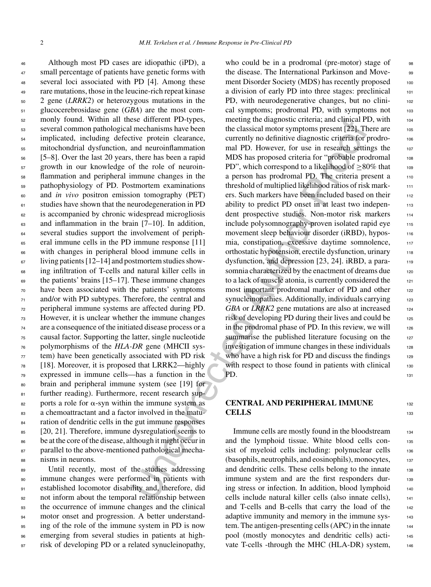Although most PD cases are idiopathic (iPD), a 47 small percentage of patients have genetic forms with several loci associated with PD [4]. Among these rare mutations, those in the leucine-rich repeat kinase 2 gene (*LRRK2*) or heterozygous mutations in the glucocerebrosidase gene (*GBA*) are the most com- monly found. Within all these different PD-types, several common pathological mechanisms have been implicated, including defective protein clearance, mitochondrial dysfunction, and neuroinflammation [5–8]. Over the last 20 years, there has been a rapid growth in our knowledge of the role of neuroin- flammation and peripheral immune changes in the pathophysiology of PD. Postmortem examinations and *in vivo* positron emission tomography (PET) studies have shown that the neurodegeneration in PD is accompanied by chronic widespread microgliosis and inflammation in the brain  $[7-10]$ . In addition, several studies support the involvement of periph- eral immune cells in the PD immune response [11] with changes in peripheral blood immune cells in living patients [12–14] and postmortem studies show- ing infiltration of T-cells and natural killer cells in  $\epsilon_{\theta}$  the patients' brains [15–17]. These immune changes have been associated with the patients' symptoms and/or with PD subtypes. Therefore, the central and peripheral immune systems are affected during PD. However, it is unclear whether the immune changes are a consequence of the initiated disease process or a causal factor. Supporting the latter, single nucleotide polymorphisms of the *HLA-DR* gene (MHCII sys- tem) have been genetically associated with PD risk [18]. Moreover, it is proposed that LRRK2—highly expressed in immune cells—has a function in the brain and peripheral immune system (see [19] for 81 further reading). Furthermore, recent research sup- $\frac{1}{282}$  ports a role for  $\alpha$ -syn within the immune system as a chemoattractant and a factor involved in the matu- ration of dendritic cells in the gut immune responses 85 [20, 21]. Therefore, immune dysregulation seems to be at the core of the disease, although it might occur in 87 parallel to the above-mentioned pathological mecha-nisms in neurons.

 Until recently, most of the studies addressing immune changes were performed in patients with established locomotor disability and, therefore, did 92 not inform about the temporal relationship between the occurrence of immune changes and the clinical motor onset and progression. A better understand- ing of the role of the immune system in PD is now emerging from several studies in patients at high-97 risk of developing PD or a related synucleinopathy,

See ditterent PD-types,<br>
mechanisms have been the datasical motor symptoms present [22]. The<br>
mechanisms have been the dassical motor symptoms present [22]. The<br>
imechanisms have been the dassical motor symptoms present [2 who could be in a prodromal (pre-motor) stage of  $\qquad$  98 the disease. The International Parkinson and Move-<br>99 ment Disorder Society (MDS) has recently proposed 100 a division of early PD into three stages: preclinical 101 PD, with neurodegenerative changes, but no clinical symptoms; prodromal PD, with symptoms not 103 meeting the diagnostic criteria; and clinical PD, with 104 the classical motor symptoms present  $[22]$ . There are  $105$ currently no definitive diagnostic criteria for prodro- <sup>106</sup> mal PD. However, for use in research settings the 107 MDS has proposed criteria for "probable prodromal 108 PD", which correspond to a likelihood of  $\geq 80\%$  that 109 a person has prodromal PD. The criteria present a 110 threshold of multiplied likelihood ratios of risk mark- <sup>111</sup> ers. Such markers have been included based on their 112 ability to predict PD onset in at least two independent prospective studies. Non-motor risk markers 114 include polysomnography-proven isolated rapid eye 115 movement sleep behaviour disorder (iRBD), hypos-<br>116 mia, constipation, excessive daytime somnolence, 117 orthostatic hypotension, erectile dysfunction, urinary 118 dysfunction, and depression [23, 24]. iRBD, a parasomnia characterized by the enactment of dreams due 120 to a lack of muscle atonia, is currently considered the 121 most important prodromal marker of PD and other 122 synucleinopathies. Additionally, individuals carrying 123 *GBA* or *LRRK2* gene mutations are also at increased 124 risk of developing PD during their lives and could be 125 in the prodromal phase of PD. In this review, we will  $126$ summarise the published literature focusing on the  $127$ investigation of immune changes in these individuals 128 who have a high risk for PD and discuss the findings  $129$ with respect to those found in patients with clinical  $130$ PD. 131

## **CENTRAL AND PERIPHERAL IMMUNE** <sup>132</sup> **CELLS** 133

Immune cells are mostly found in the bloodstream 134 and the lymphoid tissue. White blood cells con- <sup>135</sup> sist of myeloid cells including: polynuclear cells 136 (basophils, neutrophils, and eosinophils), monocytes, <sup>137</sup> and dendritic cells. These cells belong to the innate 138 immune system and are the first responders during stress or infection. In addition, blood lymphoid 140 cells include natural killer cells (also innate cells), <sup>141</sup> and T-cells and B-cells that carry the load of the 142 adaptive immunity and memory in the immune sys-<br>143 tem. The antigen-presenting cells (APC) in the innate 144 pool (mostly monocytes and dendritic cells) acti- <sup>145</sup> vate T-cells -through the MHC (HLA-DR) system, 146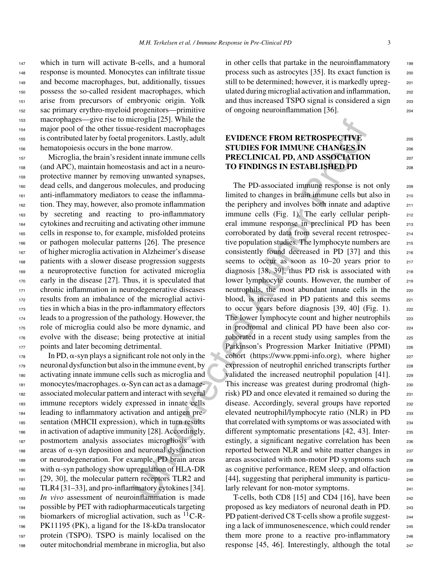response is mounted. Monocytes can infiltrate tissue and become macrophages, but, additionally, tissues possess the so-called resident macrophages, which arise from precursors of embryonic origin. Yolk sac primary erythro-myeloid progenitors—primitive macrophages—give rise to microglia [25]. While the major pool of the other tissue-resident macrophages is contributed later by foetal progenitors. Lastly, adult hematopoiesis occurs in the bone marrow.

<sup>147</sup> which in turn will activate B-cells, and a humoral

157 Microglia, the brain's resident innate immune cells (and APC), maintain homeostasis and act in a neuro- protective manner by removing unwanted synapses, dead cells, and dangerous molecules, and producing anti-inflammatory mediators to cease the inflamma- tion. They may, however, also promote inflammation by secreting and reacting to pro-inflammatory cytokines and recruiting and activating other immune cells in response to, for example, misfolded proteins or pathogen molecular patterns [26]. The presence of higher microglia activation in Alzheimer's disease patients with a slower disease progression suggests a neuroprotective function for activated microglia early in the disease [27]. Thus, it is speculated that chronic inflammation in neurodegenerative diseases results from an imbalance of the microglial activi- ties in which a bias in the pro-inflammatory effectors leads to a progression of the pathology. However, the role of microglia could also be more dynamic, and evolve with the disease; being protective at initial 177 points and later becoming detrimental.

 In PD,  $\alpha$ -syn plays a significant role not only in the neuronal dysfunction but also in the immune event, by activating innate immune cells such as microglia and monocytes/macrophages.  $\alpha$ -Syn can act as a damage- associated molecular pattern and interact with several immune receptors widely expressed in innate cells leading to inflammatory activation and antigen pre-185 sentation (MHCII expression), which in turn results in activation of adaptive immunity [28]. Accordingly, postmortem analysis associates microgliosis with 188 areas of  $\alpha$ -syn deposition and neuronal dysfunction or neurodegeneration. For example, PD brain areas 190 with  $\alpha$ -syn pathology show upregulation of HLA-DR [29, 30], the molecular pattern receptors TLR2 and TLR4 [31–33], and pro-inflammatory cytokines [34]. *In vivo* assessment of neuroinflammation is made possible by PET with radiopharmaceuticals targeting 195 biomarkers of microglial activation, such as  ${}^{11}C$ -R- PK11195 (PK), a ligand for the 18-kDa translocator protein (TSPO). TSPO is mainly localised on the outer mitochondrial membrane in microglia, but also

in other cells that partake in the neuroinflammatory 199 process such as astrocytes [35]. Its exact function is 200 still to be determined; however, it is markedly upreg- 201 ulated during microglial activation and inflammation, 202 and thus increased TSPO signal is considered a sign 203 of ongoing neuroinflammation [36]. <sup>204</sup>

## **EVIDENCE FROM RETROSPECTIVE STUDIES FOR IMMUNE CHANGES IN** 206 **PRECLINICAL PD, AND ASSOCIATION** 207 **TO FINDINGS IN ESTABLISHED PD** <sup>208</sup>

icropial (25). White the<br>
merophages are resident macrophages<br>
repeations Lamaton and the author and the members of the strength and the members of the members of the strength and the members of the members of the protocol The PD-associated immune response is not only 209 limited to changes in brain immune cells but also in 210 the periphery and involves both innate and adaptive  $211$ immune cells (Fig. 1). The early cellular periph-<br>212 eral immune response in preclinical PD has been 213 corroborated by data from several recent retrospec- <sup>214</sup> tive population studies. The lymphocyte numbers are 215 consistently found decreased in PD  $[37]$  and this  $216$ seems to occur as soon as  $10-20$  years prior to  $217$ diagnosis [38, 39], thus PD risk is associated with 218 lower lymphocyte counts. However, the number of 219 neutrophils, the most abundant innate cells in the 220 blood, is increased in PD patients and this seems 221 to occur years before diagnosis  $[39, 40]$  (Fig. 1). 222 The lower lymphocyte count and higher neutrophils 223 in prodromal and clinical PD have been also cor- <sup>224</sup> roborated in a recent study using samples from the 225 Parkinson's Progression Marker Initiative (PPMI) 226 cohort (https://www.ppmi-info.org), where higher  $_{227}$ expression of neutrophil enriched transcripts further 228 validated the increased neutrophil population  $[41]$ .  $229$ This increase was greatest during prodromal (high-<br>230 risk) PD and once elevated it remained so during the 231 disease. Accordingly, several groups have reported 232 elevated neutrophil/lymphocyte ratio (NLR) in PD 233 that correlated with symptoms or was associated with <sub>234</sub> different symptomatic presentations [42, 43]. Inter-<br>235 estingly, a significant negative correlation has been 236 reported between NLR and white matter changes in 237 areas associated with non-motor PD symptoms such 238 as cognitive performance, REM sleep, and olfaction 239 [44], suggesting that peripheral immunity is particularly relevant for non-motor symptoms.

T-cells, both CD8  $[15]$  and CD4  $[16]$ , have been  $242$ proposed as key mediators of neuronal death in PD. 243 PD patient-derived C8 T-cells show a profile suggesting a lack of immunosenescence, which could render  $245$ them more prone to a reactive pro-inflammatory 246 response  $[45, 46]$ . Interestingly, although the total  $_{247}$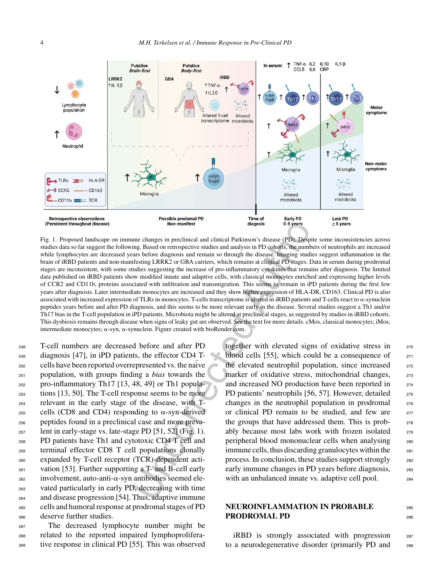

Fig. 1. Proposed landscape on immune changes in preclinical and clinical Parkinson's disease (PD). Despite some inconsistencies across studies data so far suggest the following. Based on retrospective studies and analysis in PD cohorts, the numbers of neutrophils are increased while lymphocytes are decreased years before diagnosis and remain so through the disease. Imaging studies suggest inflammation in the brain of iRBD patients and non-manifesting LRRK2 or GBA carriers, which remains at clinical PD stages. Data in serum during prodromal stages are inconsistent, with some studies suggesting the increase of pro-inflammatory cytokines that remains after diagnosis. The limited data published on iRBD patients show modified innate and adaptive cells, with classical monocytes enriched and expressing higher levels of CCR2 and CD11b, proteins associated with infiltration and transmigration. This seems to remain in iPD patients during the first few years after diagnosis. Later intermediate monocytes are increased and they show higher expression of HLA-DR, CD163. Clinical PD is also associated with increased expression of TLRs in monocytes. T-cells transcriptome is altered in  $iRBD$  patients and T-cells react to  $\alpha$ -synuclein peptides years before and after PD diagnosis, and this seems to be more relevant early in the disease. Several studies suggest a Th1 and/or Th17 bias in the T-cell population in iPD patients. Microbiota might be altered at preclinical stages, as suggested by studies in iRBD cohorts. This dysbiosis remains through disease when signs of leaky gut are observed. See the text for more details. cMos, classical monocytes; iMos, intermediate monocytes;  $\alpha$ -syn,  $\alpha$ -synuclein. Figure created with bioRender.com.

 T-cell numbers are decreased before and after PD diagnosis [47], in iPD patients, the effector CD4 T-250 cells have been reported overrepresented vs. the naive population, with groups finding a *bias* towards the pro-inflammatory Th17 [13, 48, 49] or Th1 popula- tions [13, 50]. The T-cell response seems to be more relevant in the early stage of the disease, with T- cells (CD8 and CD4) responding to  $\alpha$ -syn-derived peptides found in a preclinical case and more preva- lent in early-stage vs. late-stage PD [51, 52] (Fig. 1). PD patients have Th1 and cytotoxic CD4 T cell and terminal effector CD8 T cell populations clonally expanded by T-cell receptor (TCR)-dependent acti- vation [53]. Further supporting a T- and B-cell early involvement, auto-anti- $\alpha$ -syn antibodies seemed ele- vated particularly in early PD, decreasing with time and disease progression [54]. Thus, adaptive immune cells and humoral response at prodromal stages of PD deserve further studies.

<sup>267</sup> The decreased lymphocyte number might be <sup>268</sup> related to the reported impaired lymphoprolifera-<sup>269</sup> tive response in clinical PD [55]. This was observed together with elevated signs of oxidative stress in 270 blood cells [55], which could be a consequence of  $271$ the elevated neutrophil population, since increased 272 marker of oxidative stress, mitochondrial changes, 273 and increased NO production have been reported in 274 PD patients' neutrophils [56, 57]. However, detailed <sub>275</sub> changes in the neutrophil population in prodromal <sup>276</sup> or clinical PD remain to be studied, and few are  $277$ the groups that have addressed them. This is probably because most labs work with frozen isolated 279 peripheral blood mononuclear cells when analysing <sup>280</sup> immune cells, thus discarding granulocytes within the <sub>281</sub> process. In conclusion, these studies support strongly <sup>282</sup> early immune changes in PD years before diagnosis,  $283$ with an unbalanced innate vs. adaptive cell pool. 284

## **NEUROINFLAMMATION IN PROBABLE** <sup>285</sup> **PRODROMAL PD** 286

iRBD is strongly associated with progression <sup>287</sup> to a neurodegenerative disorder (primarily PD and <sup>288</sup>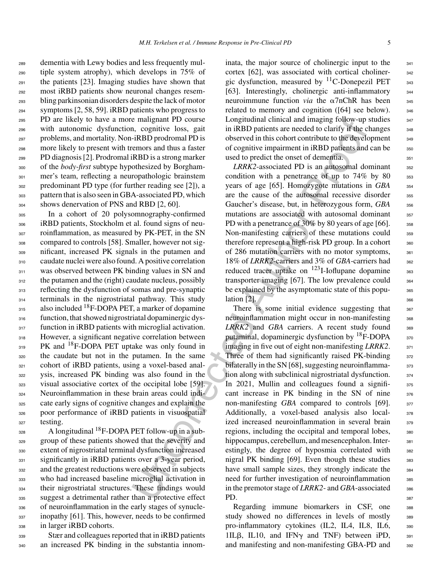dementia with Lewy bodies and less frequently mul- tiple system atrophy), which develops in 75% of the patients [23]. Imaging studies have shown that most iRBD patients show neuronal changes resem- bling parkinsonian disorders despite the lack of motor symptoms [2, 58, 59]. iRBD patients who progress to PD are likely to have a more malignant PD course with autonomic dysfunction, cognitive loss, gait problems, and mortality. Non-iRBD prodromal PD is more likely to present with tremors and thus a faster PD diagnosis [2]. Prodromal iRBD is a strong marker of the *body-first* subtype hypothesized by Borgham- mer's team, reflecting a neuropathologic brainstem predominant PD type (for further reading see [2]), a pattern that is also seen in GBA-associated PD, which shows denervation of PNS and RBD [2, 60].

 In a cohort of 20 polysomnography-confirmed iRBD patients, Stockholm et al. found signs of neu- roinflammation, as measured by PK-PET, in the SN compared to controls [58]. Smaller, however not sig- nificant, increased PK signals in the putamen and caudate nuclei were also found. A positive correlation 311 was observed between PK binding values in SN and the putamen and the (right) caudate nucleus, possibly 313 reflecting the dysfunction of somas and pre-synaptic 314 terminals in the nigrostriatal pathway. This study 315 also included <sup>18</sup>F-DOPA PET, a marker of dopamine function, that showed nigrostriatal dopaminergic dys-317 function in iRBD patients with microglial activation. However, a significant negative correlation between  $_{319}$  PK and <sup>18</sup>F-DOPA PET uptake was only found in the caudate but not in the putamen. In the same cohort of iRBD patients, using a voxel-based anal- ysis, increased PK binding was also found in the visual associative cortex of the occipital lobe [59]. Neuroinflammation in these brain areas could indi- cate early signs of cognitive changes and explain the poor performance of iRBD patients in visuospatial <sup>327</sup> testing.

 $\mu_{\text{228}}$  A longitudinal <sup>18</sup> F-DOPA PET follow-up in a sub- group of these patients showed that the severity and extent of nigrostriatal terminal dysfunction increased 331 significantly in iRBD patients over a 3-year period, and the greatest reductions were observed in subjects who had increased baseline microglial activation in their nigrostriatal structures. These findings would suggest a detrimental rather than a protective effect of neuroinflammation in the early stages of synucle-<sub>337</sub> inopathy [61]. This, however, needs to be confirmed in larger iRBD cohorts.

<sup>339</sup> Stær and colleagues reported that in iRBD patients <sup>340</sup> an increased PK binding in the substantia innominata, the major source of cholinergic input to the 341 cortex [62], was associated with cortical choliner-<br><sub>342</sub> gic dysfunction, measured by  ${}^{11}$ C-Donepezil PET  $_{343}$ [63]. Interestingly, cholinergic anti-inflammatory 344 neuroimmune function *via* the  $\alpha$ 7nChR has been  $\alpha$ 45 related to memory and cognition  $([64] \text{ see below})$ . 346 Longitudinal clinical and imaging follow-up studies 347 in iRBD patients are needed to clarify if the changes  $_{348}$ observed in this cohort contribute to the development 349 of cognitive impairment in iRBD patients and can be 350 used to predict the onset of dementia. 351

*LRRK2*-associated PD is an autosomal dominant 352 condition with a penetrance of up to  $74\%$  by  $80$  353 years of age [65]. Homozygote mutations in *GBA* 354 are the cause of the autosomal recessive disorder 355 Gaucher's disease, but, in heterozygous form, *GBA* 356 mutations are associated with autosomal dominant 357 PD with a penetrance of 30% by 80 years of age  $[66]$ . 358 Non-manifesting carriers of these mutations could 359 therefore represent a high-risk PD group. In a cohort  $360$ of 286 mutation carriers with no motor symptoms, 361 18% of *LRRK2*-carriers and 3% of *GBA*-carriers had 362 reduced tracer uptake on  $123$ I-Ioflupane dopamine 363 transporter imaging  $[67]$ . The low prevalence could  $364$ be explained by the asymptomatic state of this popu-<br><sub>365</sub>  $\ln \left[ 2 \right]$ . 366

e natigant HD course Longitudina finited and maging follow-up<br>
en maips and the second the second and maging follow-<br>
in iRBD patients are needed to clarify if the c-Response and thus a faster of cognitive implainment in There is some initial evidence suggesting that  $367$ neuroinflammation might occur in non-manifesting 368 LRRK2 and *GBA* carriers. A recent study found 369 putaminal, dopaminergic dysfunction by  ${}^{18}F$ -DOPA  ${}^{37}C$ imaging in five out of eight non-manifesting *LRRK2*. 371 Three of them had significantly raised  $PK$ -binding  $372$ bilaterally in the SN [68], suggesting neuroinflamma-<br>373 tion along with subclinical nigrostriatal dysfunction. 374 In 2021, Mullin and colleagues found a signifi-  $375$ cant increase in PK binding in the SN of nine  $376$ non-manifesting *GBA* compared to controls [69]. 377 Additionally, a voxel-based analysis also local-<br><sub>378</sub> ized increased neuroinflammation in several brain 379 regions, including the occipital and temporal lobes,  $\frac{380}{2}$ hippocampus, cerebellum, and mesencephalon. Inter-<br>381 estingly, the degree of hyposmia correlated with 382 nigral PK binding  $[69]$ . Even though these studies  $383$ have small sample sizes, they strongly indicate the  $\frac{384}{100}$ need for further investigation of neuroinflammation 385 in the premotor stage of *LRRK2*- and *GBA*-associated 386 PD. 387

> Regarding immune biomarkers in CSF, one <sup>388</sup> study showed no differences in levels of mostly 389 pro-inflammatory cytokines (IL2, IL4, IL8, IL6, 390  $1IL\beta$ , IL10, and IFN $\gamma$  and TNF) between iPD, 391 and manifesting and non-manifesting GBA-PD and 392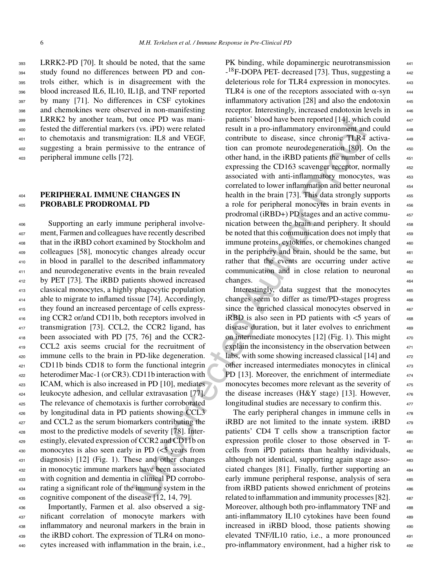LRRK2-PD [70]. It should be noted, that the same study found no differences between PD and con- trols either, which is in disagreement with the 396 blood increased IL6, IL10, IL1β, and TNF reported by many [71]. No differences in CSF cytokines and chemokines were observed in non-manifesting LRRK2 by another team, but once PD was mani- fested the differential markers (vs. iPD) were related to chemotaxis and transmigration: IL8 and VEGF, suggesting a brain permissive to the entrance of peripheral immune cells [72].

## **PERIPHERAL IMMUNE CHANGES IN PROBABLE PRODROMAL PD**

 Supporting an early immune peripheral involve- ment, Farmen and colleagues have recently described that in the iRBD cohort examined by Stockholm and colleagues [58], monocytic changes already occur in blood in parallel to the described inflammatory 411 and neurodegenerative events in the brain revealed <sup>412</sup> by PET [73]. The iRBD patients showed increased classical monocytes, a highly phagocytic population able to migrate to inflamed tissue [74]. Accordingly, they found an increased percentage of cells express- ing CCR2 or/and CD11b, both receptors involved in transmigration [73]. CCL2, the CCR2 ligand, has been associated with PD [75, 76] and the CCR2- CCL2 axis seems crucial for the recruitment of immune cells to the brain in PD-like degeneration. CD11b binds CD18 to form the functional integrin heterodimer Mac-1 (or CR3). CD11b interaction with ICAM, which is also increased in PD [10], mediates leukocyte adhesion, and cellular extravasation [77]. The relevance of chemotaxis is further corroborated by longitudinal data in PD patients showing CCL3 and CCL2 as the serum biomarkers contributing the most to the predictive models of severity [78]. Inter- estingly, elevated expression of CCR2 and CD11b on 430 monocytes is also seen early in PD  $\leq$  years from diagnosis) [12] (Fig. 1). These and other changes in monocytic immune markers have been associated with cognition and dementia in clinical PD corrobo- rating a significant role of the immune system in the cognitive component of the disease [12, 14, 79].

 Importantly, Farmen et al. also observed a sig- nificant correlation of monocyte markers with inflammatory and neuronal markers in the brain in the iRBD cohort. The expression of TLR4 on mono-cytes increased with inflammation in the brain, i.e.,

on the DV ans man-<br>patterist blood have been reported [14], which that once the methanon of<br>six (s.g. iPD) were related result in a pro-imflammatory environment and<br>artion: ILS and VFGF, contribute to diesse, since choroi PK binding, while dopaminergic neurotransmission -<sup>18</sup>F-DOPA PET- decreased [73]. Thus, suggesting a 442 deleterious role for TLR4 expression in monocytes. 443 TLR4 is one of the receptors associated with  $\alpha$ -syn  $444$ inflammatory activation  $[28]$  and also the endotoxin  $445$ receptor. Interestingly, increased endotoxin levels in patients' blood have been reported [14], which could result in a pro-inflammatory environment and could  $_{448}$ contribute to disease, since chronic TLR4 activation can promote neurodegeneration [80]. On the 450 other hand, in the iRBD patients the number of cells expressing the CD163 scavenger receptor, normally associated with anti-inflammatory monocytes, was 453 correlated to lower inflammation and better neuronal <sup>454</sup> health in the brain [73]. This data strongly supports a role for peripheral monocytes in brain events in prodromal (iRBD+) PD stages and an active commu- <sup>457</sup> nication between the brain and periphery. It should 458 be noted that this communication does not imply that immune proteins, cytokines, or chemokines changed in the periphery and brain, should be the same, but rather that the events are occurring under active 462 communication and in close relation to neuronal 463 changes. 464

Interestingly, data suggest that the monocytes 465 changes seem to differ as time/PD-stages progress 466 since the enriched classical monocytes observed in iRBD is also seen in PD patients with  $\lt$ 5 years of disease duration, but it later evolves to enrichment 469 on intermediate monocytes  $[12]$  (Fig. 1). This might explain the inconsistency in the observation between labs, with some showing increased classical [14] and other increased intermediates monocytes in clinical <sup>473</sup> PD [13]. Moreover, the enrichment of intermediate monocytes becomes more relevant as the severity of the disease increases (H&Y stage) [13]. However, longitudinal studies are necessary to confirm this.

The early peripheral changes in immune cells in iRBD are not limited to the innate system. iRBD 479 patients' CD4 T cells show a transcription factor 480 expression profile closer to those observed in T cells from iPD patients than healthy individuals, 482 although not identical, supporting again stage associated changes [81]. Finally, further supporting an <sup>484</sup> early immune peripheral response, analysis of sera 485 from iRBD patients showed enrichment of proteins related to inflammation and immunity processes [82]. 487 Moreover, although both pro-inflammatory TNF and 488 anti-inflammatory IL10 cytokines have been found 489 increased in iRBD blood, those patients showing 490 elevated TNF/IL10 ratio, i.e., a more pronounced <sup>491</sup> pro-inflammatory environment, had a higher risk to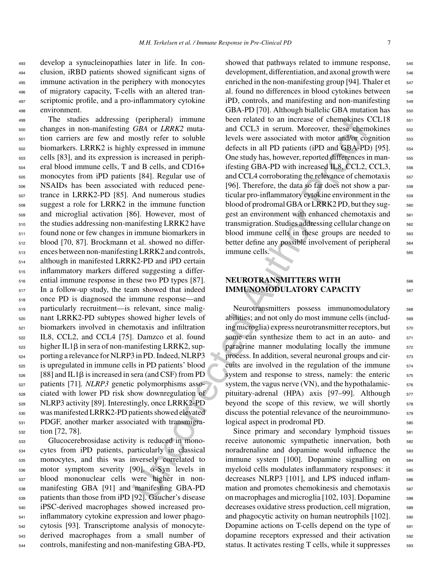develop a synucleinopathies later in life. In con- clusion, iRBD patients showed significant signs of immune activation in the periphery with monocytes of migratory capacity, T-cells with an altered tran-497 scriptomic profile, and a pro-inflammatory cytokine environment.

(perpheral) umumum beached to an increase of chemokyines<br>
(*GBA* or *IRRK2* muta— then related to an increase of chemokyine effect to soluble levels were associated with motor and<br>Py syrepresed in immume defects in all PD The studies addressing (peripheral) immune changes in non-manifesting *GBA* or *LRRK2* muta- tion carriers are few and mostly refer to soluble biomarkers. LRRK2 is highly expressed in immune cells [83], and its expression is increased in periph- eral blood immune cells, T and B cells, and CD16+ monocytes from iPD patients [84]. Regular use of NSAIDs has been associated with reduced pene- trance in LRRK2-PD [85]. And numerous studies suggest a role for LRRK2 in the immune function and microglial activation [86]. However, most of the studies addressing non-manifesting LRRK2 have found none or few changes in immune biomarkers in blood [70, 87]. Brockmann et al. showed no differ- ences between non-manifesting LRRK2 and controls, although in manifested LRRK2-PD and iPD certain inflammatory markers differed suggesting a differ- ential immune response in these two PD types [87]. In a follow-up study, the team showed that indeed once PD is diagnosed the immune response—and particularly recruitment—is relevant, since malig- nant LRRK2-PD subtypes showed higher levels of biomarkers involved in chemotaxis and infiltration IL8, CCL2, and CCL4 [75]. Damzco et al. found higher IL1 $\beta$  in sera of non-manifesting LRRK2, sup- porting a relevance for NLRP3 in PD. Indeed, NLRP3 is upregulated in immune cells in PD patients' blood [88] and IL1 $\beta$  is increased in sera (and CSF) from PD patients [71]*. NLRP3* genetic polymorphisms asso- ciated with lower PD risk show downregulation of NLRP3 activity [89]. Interestingly, once LRRK2-PD was manifested LRRK2-PD patients showed elevated PDGF, another marker associated with transmigra-tion [72, 78].

 Glucocerebrosidase activity is reduced in mono- cytes from iPD patients, particularly in classical monocytes, and this was inversely correlated to motor symptom severity [90].  $\alpha$ -Syn levels in blood mononuclear cells were higher in non- manifesting GBA [91] and manifesting GBA-PD patients than those from iPD [92]. Gaucher's disease iPSC-derived macrophages showed increased pro- inflammatory cytokine expression and lower phago- cytosis [93]. Transcriptome analysis of monocyte- derived macrophages from a small number of controls, manifesting and non-manifesting GBA-PD,

showed that pathways related to immune response,  $\frac{545}{2}$ development, differentiation, and axonal growth were  $_{546}$ enriched in the non-manifesting group [94]. Thaler et  $_{547}$ al. found no differences in blood cytokines between  $548$ iPD, controls, and manifesting and non-manifesting  $\frac{548}{2}$ GBA-PD [70]. Although biallelic GBA mutation has 550 been related to an increase of chemokines CCL18  $551$ and CCL3 in serum. Moreover, these chemokines  $552$ levels were associated with motor and/or cognition 553 defects in all PD patients (iPD and GBA-PD) [95].  $554$ One study has, however, reported differences in manifesting GBA-PD with increased IL8, CCL2, CCL3, 556 and CCL4 corroborating the relevance of chemotaxis  $557$ [96]. Therefore, the data so far does not show a particular pro-inflammatory cytokine environment in the 559 blood of prodromal GBA or LRRK2 PD, but they suggest an environment with enhanced chemotaxis and  $_{561}$ transmigration. Studies addressing cellular change on 562 blood immune cells in these groups are needed to  $\frac{563}{663}$ better define any possible involvement of peripheral <sub>564</sub> immune cells. <sup>565</sup>

## **NEUROTRANSMITTERS WITH** <sup>566</sup> **IMMUNOMODULATORY CAPACITY** <sup>567</sup>

Neurotransmitters possess immunomodulatory <sub>568</sub> abilities; and not only do most immune cells (including microglia) express neurotransmitter receptors, but  $\qquad$ some can synthesize them to act in an auto- and  $571$ paracrine manner modulating locally the immune 572 process. In addition, several neuronal groups and circuits are involved in the regulation of the immune  $574$ system and response to stress, namely: the enteric 575 system, the vagus nerve  $(VN)$ , and the hypothalamic- $\frac{576}{576}$ pituitary-adrenal (HPA) axis [97–99]. Although 577 beyond the scope of this review, we will shortly  $578$ discuss the potential relevance of the neuroimmunological aspect in prodromal PD. 580

Since primary and secondary lymphoid tissues 581 receive autonomic sympathetic innervation, both 582 noradrenaline and dopamine would influence the 583 immune system [100]. Dopamine signalling on 584 myeloid cells modulates inflammatory responses: it  $\qquad$  585 decreases NLRP3 [101], and LPS induced inflam-<br>sse mation and promotes chemokinesis and chemotaxis 587 on macrophages and microglia [102, 103]. Dopamine sse decreases oxidative stress production, cell migration, sss and phagocytic activity on human neutrophils  $[102]$ .  $\qquad$  590 Dopamine actions on T-cells depend on the type of 591 dopamine receptors expressed and their activation 592 status. It activates resting T cells, while it suppresses  $\frac{593}{2}$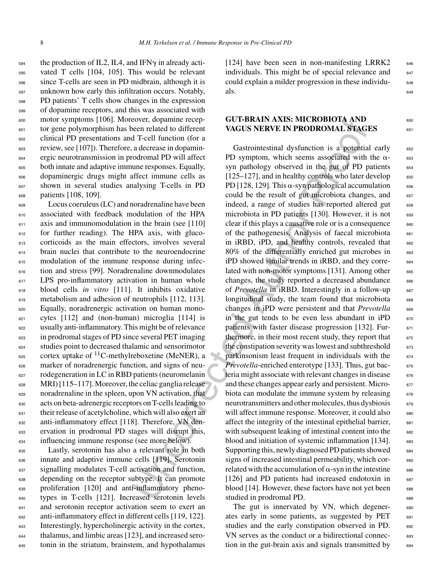$_{594}$  the production of IL2, IL4, and IFN $\gamma$  in already acti- vated T cells [104, 105]. This would be relevant since T-cells are seen in PD midbrain, although it is unknown how early this infiltration occurs. Notably, PD patients' T cells show changes in the expression of dopamine receptors, and this was associated with motor symptoms [106]. Moreover, dopamine recep- tor gene polymorphism has been related to different clinical PD presentations and T-cell function (for a review, see [107]). Therefore, a decrease in dopamin- ergic neurotransmission in prodromal PD will affect both innate and adaptive immune responses. Equally, dopaminergic drugs might affect immune cells as shown in several studies analysing T-cells in PD patients [108, 109].

 Locus coeruleus (LC) and noradrenaline have been associated with feedback modulation of the HPA axis and immunomodulation in the brain (see [110] for further reading). The HPA axis, with gluco- corticoids as the main effectors, involves several brain nuclei that contribute to the neuroendocrine modulation of the immune response during infec- tion and stress [99]. Noradrenaline downmodulates LPS pro-inflammatory activation in human whole blood cells *in vitro* [111]. It inhibits oxidative 619 metabolism and adhesion of neutrophils [112, 113]. Equally, noradrenergic activation on human mono- cytes [112] and (non-human) microglia [114] is usually anti-inflammatory. This might be of relevance in prodromal stages of PD since several PET imaging studies point to decreased thalamic and sensorimotor  $_{625}$  cortex uptake of <sup>11</sup>C-methylreboxetine (MeNER), a marker of noradrenergic function, and signs of neu- rodegeneration in LC in RBD patients (neuromelanin MRI) [115–117]. Moreover, the celiac ganglia release noradrenaline in the spleen, upon VN activation, that acts on beta-adrenergic receptors on T-cells leading to their release of acetylcholine, which will also exert an anti-inflammatory effect [118]. Therefore, VN den- ervation in prodromal PD stages will disrupt this, influencing immune response (see more below).

 Lastly, serotonin has also a relevant role in both innate and adaptive immune cells [119]. Serotonin signalling modulates T-cell activation and function, depending on the receptor subtype. It can promote proliferation [120] and anti-inflammatory pheno- types in T-cells [121]. Increased serotonin levels <sup>641</sup> and serotonin receptor activation seem to exert an <sup>642</sup> anti-inflammatory effect in different cells [119, 122].  $_{643}$  Interestingly, hypercholinergic activity in the cortex, thalamus, and limbic areas [123], and increased sero-tonin in the striatum, brainstem, and hypothalamus

[124] have been seen in non-manifesting LRRK2  $646$ individuals. This might be of special relevance and  $647$ could explain a milder progression in these individu- $\frac{1}{648}$ 

## **GUT-BRAIN AXIS: MICROBIOTA AND VAGUS NERVE IN PRODROMAL STAGES**

eover, dopamine receptor<br>
and the different<br>
coence, redact to different<br>
VAGUS NERVE IN PRODROMAL STAGE<br>
Tech method of The Tell (morinor (for a<br>
Tech method of The Tell (morinor (for a<br>
Tech method of the proofile PD sym Gastrointestinal dysfunction is a potential early 652 PD symptom, which seems associated with the  $\alpha$ syn pathology observed in the gut of PD patients  $654$  $[125-127]$ , and in healthy controls who later develop 655 PD [128, 129]. This  $\alpha$ -syn pathological accumulation  $\qquad \circ \sigma$ could be the result of gut microbiota changes, and 657 indeed, a range of studies has reported altered gut 658 microbiota in PD patients  $[130]$ . However, it is not 659 clear if this plays a causative role or is a consequence 660 of the pathogenesis. Analysis of faecal microbiota 661 in iRBD, iPD, and healthy controls, revealed that  $662$ 80% of the differentially enriched gut microbes in 663 iPD showed similar trends in iRBD, and they corre- 664 lated with non-motor symptoms [131]. Among other 665 changes, the study reported a decreased abundance 666 of *Prevotella* in iRBD. Interestingly in a follow-up 667 longitudinal study, the team found that microbiota 668 changes in iPD were persistent and that *Prevotella* 669 in the gut tends to be even less abundant in  $iPD$  670 patients with faster disease progression [132]. Fur- 671 thermore, in their most recent study, they report that  $672$ the constipation severity was lowest and subthreshold 673 parkinsonism least frequent in individuals with the  $674$ *Prevotella*-enriched enterotype [133]. Thus, gut bac- 675 teria might associate with relevant changes in disease 676 and these changes appear early and persistent. Microbiota can modulate the immune system by releasing 678 neurotransmitters and other molecules, thus dysbiosis 679 will affect immune response. Moreover, it could also 680 affect the integrity of the intestinal epithelial barrier, 681 with subsequent leaking of intestinal content into the 682 blood and initiation of systemic inflammation [134]. 683 Supporting this, newly diagnosed PD patients showed 684 signs of increased intestinal permeability, which correlated with the accumulation of  $\alpha$ -syn in the intestine  $\qquad \circ \circ \circ$ [126] and PD patients had increased endotoxin in 687 blood [14]. However, these factors have not yet been 688 studied in prodromal PD.

> The gut is innervated by VN, which degener-<br>
> 690 ates early in some patients, as suggested by PET 691 studies and the early constipation observed in PD. 692 VN serves as the conduct or a bidirectional connec- 693 tion in the gut-brain axis and signals transmitted by 694

- <sup>653</sup>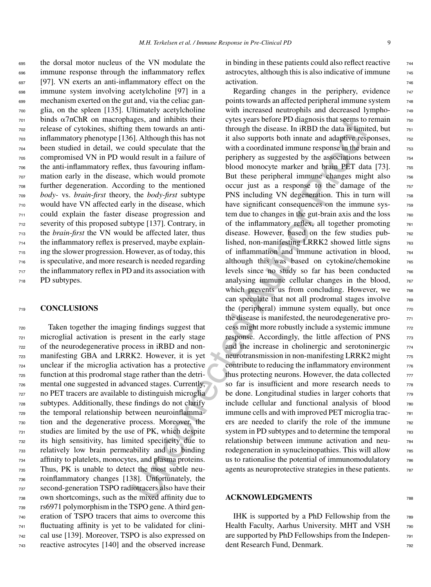the dorsal motor nucleus of the VN modulate the immune response through the inflammatory reflex [97]. VN exerts an anti-inflammatory effect on the immune system involving acetylcholine [97] in a mechanism exerted on the gut and, via the celiac gan- glia, on the spleen [135]. Ultimately acetylcholine binds  $\alpha$ 7nChR on macrophages, and inhibits their release of cytokines, shifting them towards an anti- inflammatory phenotype [136]. Although this has not been studied in detail, we could speculate that the compromised VN in PD would result in a failure of the anti-inflammatory reflex, thus favouring inflam- mation early in the disease, which would promote further degeneration. According to the mentioned *body-* vs. *brain-first* theory, the *body-first* subtype would have VN affected early in the disease, which could explain the faster disease progression and severity of this proposed subtype [137]. Contrary, in the *brain-first* the VN would be affected later, thus the inflammatory reflex is preserved, maybe explain- ing the slower progression. However, as of today, this is speculative, and more research is needed regarding the inflammatory reflex in PD and its association with PD subtypes.

#### <sup>719</sup> **CONCLUSIONS**

 Taken together the imaging findings suggest that microglial activation is present in the early stage of the neurodegenerative process in iRBD and non- manifesting GBA and LRRK2. However, it is yet unclear if the microglia activation has a protective function at this prodromal stage rather than the detri- mental one suggested in advanced stages. Currently, no PET tracers are available to distinguish microglia subtypes. Additionally, these findings do not clarify the temporal relationship between neuroinflamma- tion and the degenerative process. Moreover, the studies are limited by the use of PK, which despite its high sensitivity, has limited specificity due to relatively low brain permeability and its binding affinity to platelets, monocytes, and plasma proteins. Thus, PK is unable to detect the most subtle neu- roinflammatory changes [138]. Unfortunately, the second-generation TSPO radiotracers also have their own shortcomings, such as the mixed affinity due to rs6971 polymorphism in the TSPO gene. A third gen- eration of TSPO tracers that aims to overcome this fluctuating affinity is yet to be validated for clini- cal use [139]. Moreover, TSPO is also expressed on reactive astrocytes [140] and the observed increase

in binding in these patients could also reflect reactive  $\frac{744}{6}$ astrocytes, although this is also indicative of immune  $\frac{745}{60}$ activation.

ages, and minibits their evits years bettore PD datagness that seems to the absolution through the discasse. In iRBD the data is timined and the succession of a low supports both image and adaptive respectioned by the syst Regarding changes in the periphery, evidence  $_{747}$ points towards an affected peripheral immune system  $_{748}$ with increased neutrophils and decreased lympho-<br>  $748$ cytes years before PD diagnosis that seems to remain  $\frac{750}{750}$ through the disease. In iRBD the data is limited, but  $_{751}$ it also supports both innate and adaptive responses,  $\frac{752}{252}$ with a coordinated immune response in the brain and  $\frac{753}{753}$ periphery as suggested by the associations between  $\frac{754}{60}$ blood monocyte marker and brain PET data [73]. 755 But these peripheral immune changes might also  $756$ occur just as a response to the damage of the <sup>757</sup> PNS including VN degeneration. This in turn will 758 have significant consequences on the immune system due to changes in the gut-brain axis and the loss  $_{760}$ of the inflammatory reflex, all together promoting 761 disease. However, based on the few studies published, non-manifesting LRRK2 showed little signs  $763$ of inflammation and immune activation in blood,  $764$ although this was based on cytokine/chemokine  $765$ levels since no study so far has been conducted  $766$ analysing immune cellular changes in the blood,  $767$ which prevents us from concluding. However, we  $768$ can speculate that not all prodromal stages involve 769 the (peripheral) immune system equally, but once  $770$ the disease is manifested, the neurodegenerative process might more robustly include a systemic immune  $\frac{772}{772}$ response. Accordingly, the little affection of PNS 773 and the increase in cholinergic and serotoninergic  $774$ neurotransmission in non-manifesting LRRK2 might  $\frac{775}{775}$ contribute to reducing the inflammatory environment  $\frac{776}{}$ thus protecting neurons. However, the data collected  $\frac{777}{277}$ so far is insufficient and more research needs to  $\frac{778}{278}$ be done. Longitudinal studies in larger cohorts that  $\frac{778}{275}$ include cellular and functional analysis of blood  $\frac{780}{1000}$ immune cells and with improved PET microglia tracers are needed to clarify the role of the immune 782 system in PD subtypes and to determine the temporal  $\frac{783}{783}$ relationship between immune activation and neu- <sup>784</sup> rodegeneration in synucleinopathies. This will allow  $\frac{785}{785}$ us to rationalise the potential of immunomodulatory  $\frac{786}{100}$ agents as neuroprotective strategies in these patients.  $\frac{787}{287}$ 

## **ACKNOWLEDGMENTS** <sup>788</sup>

IHK is supported by a PhD Fellowship from the  $\frac{788}{2}$ Health Faculty, Aarhus University. MHT and VSH 790 are supported by PhD Fellowships from the Indepen- <sup>791</sup> dent Research Fund, Denmark.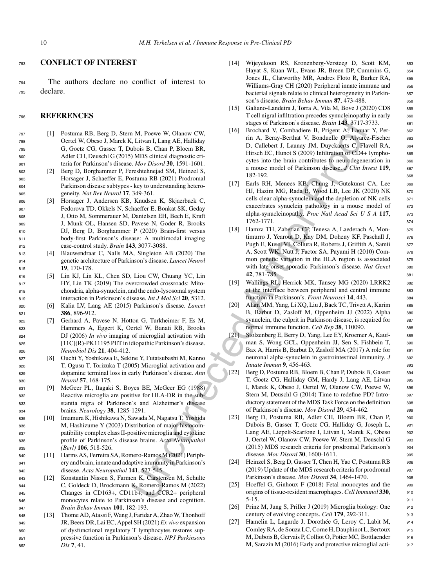### <sup>793</sup> **CONFLICT OF INTEREST**

<sup>794</sup> The authors declare no conflict of interest to <sup>795</sup> declare.

### <sup>796</sup> **REFERENCES**

- <sup>797</sup> [1] Postuma RB, Berg D, Stern M, Poewe W, Olanow CW, <sup>798</sup> Oertel W, Obeso J, Marek K, Litvan I, Lang AE, Halliday <sup>799</sup> G, Goetz CG, Gasser T, Dubois B, Chan P, Bloem BR, <sup>800</sup> Adler CH, Deuschl G (2015) MDS clinical diagnostic cri-<sup>801</sup> teria for Parkinson's disease. *Mov Disord* **30**, 1591-1601.
- <sup>802</sup> [2] Berg D, Borghammer P, Fereshtehnejad SM, Heinzel S, <sup>803</sup> Horsager J, Schaeffer E, Postuma RB (2021) Prodromal <sup>804</sup> Parkinson disease subtypes - key to understanding hetero-<sup>805</sup> geneity. *Nat Rev Neurol* **17**, 349-361.
- <sup>806</sup> [3] Horsager J, Andersen KB, Knudsen K, Skjaerbaek C, <sup>807</sup> Fedorova TD, Okkels N, Schaeffer E, Bonkat SK, Geday <sup>808</sup> J, Otto M, Sommerauer M, Danielsen EH, Bech E, Kraft <sup>809</sup> J, Munk OL, Hansen SD, Pavese N, Goder R, Brooks <sup>810</sup> DJ, Berg D, Borghammer P (2020) Brain-first versus <sup>811</sup> body-first Parkinson's disease: A multimodal imaging <sup>812</sup> case-control study. *Brain* **143**, 3077-3088.
- <sup>813</sup> [4] Blauwendraat C, Nalls MA, Singleton AB (2020) The <sup>814</sup> genetic architecture of Parkinson's disease. *Lancet Neurol* <sup>815</sup> **19**, 170-178.
- <sup>816</sup> [5] Lin KJ, Lin KL, Chen SD, Liou CW, Chuang YC, Lin <sup>817</sup> HY, Lin TK (2019) The overcrowded crossroads: Mito-<sup>818</sup> chondria, alpha-synuclein, and the endo-lysosomal system <sup>819</sup> interaction in Parkinson's disease. *Int J Mol Sci* **20**, 5312.
- <sup>820</sup> [6] Kalia LV, Lang AE (2015) Parkinson's disease. *Lancet* <sup>821</sup> **386**, 896-912.
- <sup>822</sup> [7] Gerhard A, Pavese N, Hotton G, Turkheimer F, Es M, <sup>823</sup> Hammers A, Eggert K, Oertel W, Banati RB, Brooks <sup>824</sup> DJ (2006) *In vivo* imaging of microglial activation with <sup>825</sup> [11C](R)-PK11195 PET in idiopathic Parkinson's disease. <sup>826</sup> *Neurobiol Dis* **21**, 404-412.
- <sup>827</sup> [8] Ouchi Y, Yoshikawa E, Sekine Y, Futatsubashi M, Kanno <sup>828</sup> T, Ogusu T, Torizuka T (2005) Microglial activation and <sup>829</sup> dopamine terminal loss in early Parkinson's disease. *Ann* <sup>830</sup> *Neurol* **57**, 168-175.
- <sup>831</sup> [9] McGeer PL, Itagaki S, Boyes BE, McGeer EG (1988) <sup>832</sup> Reactive microglia are positive for HLA-DR in the sub-<sup>833</sup> stantia nigra of Parkinson's and Alzheimer's disease <sup>834</sup> brains. *Neurology* **38**, 1285-1291.
- <sup>835</sup> [10] Imamura K, Hishikawa N, Sawada M, Nagatsu T, Yoshida <sup>836</sup> M, Hashizume Y (2003) Distribution of major histocom-<sup>837</sup> patibility complex class II-positive microglia and cytokine <sup>838</sup> profile of Parkinson's disease brains. *Acta Neuropathol* <sup>839</sup> *(Berl)* **106**, 518-526.
- <sup>840</sup> [11] Harms AS, Ferreira SA, Romero-Ramos M (2021) Periph-<sup>841</sup> ery and brain, innate and adaptive immunity in Parkinson's <sup>842</sup> disease. *Acta Neuropathol* **141**, 527-545.
- <sup>843</sup> [12] Konstantin Nissen S, Farmen K, Carstensen M, Schulte <sup>844</sup> C, Goldeck D, Brockmann K, Romero-Ramos M (2022) 845 Changes in CD163+, CD11b+, and CCR2+ peripheral <sup>846</sup> monocytes relate to Parkinson's disease and cognition. <sup>847</sup> *Brain Behav Immun* **101**, 182-193.
- <sup>848</sup> [13] Thome AD, Atassi F, Wang J, Faridar A, Zhao W, Thonhoff <sup>849</sup> JR, Beers DR, Lai EC, Appel SH (2021) *Ex vivo* expansion <sup>850</sup> of dysfunctional regulatory T lymphocytes restores sup-<sup>851</sup> pressive function in Parkinson's disease. *NPJ Parkinsons* <sup>852</sup> *Dis* **7**, 41.
- [14] Wijeyekoon RS, Kronenberg-Versteeg D, Scott KM, 853 Hayat S, Kuan WL, Evans JR, Breen DP, Cummins G, 854 Jones JL, Clatworthy MR, Andres Floto R, Barker RA, 855 Williams-Gray CH (2020) Peripheral innate immune and 856 bacterial signals relate to clinical heterogeneity in Parkin- 857 son's disease. *Brain Behav Immun* 87, 473-488. 858
- [15] Galiano-Landeira J, Torra A, Vila M, Bove J (2020) CD8 859 T cell nigral infiltration precedes synucleinopathy in early 860 stages of Parkinson's disease. *Brain* **143**, 3717-3733. <sup>861</sup>
- 1. H. Power W. Olamow CW,<br>
1963 stead of Parkmaton's dissense *Brain* (16) and N. Concludere B, Prigent A, Tanuan<br>
116, Brain day, The High (16) and AR-High (17) and Author Markmaton COMP (18) and N. Concludery 1, Luamay Brochard V, Combadiere B, Prigent A, Laouar Y, Per- 862 rin A, Beray-Berthat V, Bonduelle O, Alvarez-Fischer 863 D, Callebert J, Launay JM, Duyckaerts C, Flavell RA, 864 Hirsch EC, Hunot S (2009) Infiltration of CD4+ lympho- 865 cytes into the brain contributes to neurodegeneration in 866 a mouse model of Parkinson disease. *J Clin Invest* **119**, <sup>867</sup> 182-192. 868
	- [17] Earls RH, Menees KB, Chung J, Gutekunst CA, Lee 869 HJ, Hazim MG, Rada B, Wood LB, Lee JK (2020) NK 870 cells clear alpha-synuclein and the depletion of NK cells 871 exacerbates synuclein pathology in a mouse model of 872 alpha-synucleinopathy. *Proc Natl Acad Sci U S A* 117, 873 1762-1771. <sup>874</sup>
	- [18] Hamza TH, Zabetian CP, Tenesa A, Laederach A, Mon- 875 timurro J, Yearout D, Kay DM, Doheny KF, Paschall J, 876 Pugh E, Kusel VI, Collura R, Roberts J, Griffith A, Samii 877 A, Scott WK, Nutt J, Factor SA, Payami H (2010) Com- 878 mon genetic variation in the HLA region is associated 879 with late-onset sporadic Parkinson's disease. Nat Genet 880 **42**, 781-785. <sup>881</sup>
	- [19] Wallings RL, Herrick MK, Tansey MG (2020) LRRK2 882 at the interface between peripheral and central immune 883 function in Parkinson's. *Front Neurosci* **14**, 443. <sup>884</sup>
	- [20] Alam MM, Yang, Li XQ, Liu J, Back TC, Trivett A, Karim 885 B, Barbut D, Zasloff M, Oppenheim JJ (2022) Alpha 886 synuclein, the culprit in Parkinson disease, is required for 887 normal immune function. *Cell Rep* 38, 110090. 888
	- [21] Stolzenberg E, Berry D, Yang, Lee EY, Kroemer A, Kauf- 889 man S, Wong GCL, Oppenheim JJ, Sen S, Fishbein T, 890 Bax A, Harris B, Barbut D, Zasloff MA (2017) A role for 891 neuronal alpha-synuclein in gastrointestinal immunity. *J* 892 *Innate Immun* 9, 456-463. 893
	- [22] Berg D, Postuma RB, Bloem B, Chan P, Dubois B, Gasser 894 T, Goetz CG, Halliday GM, Hardy J, Lang AE, Litvan 895 I, Marek K, Obeso J, Oertel W, Olanow CW, Poewe W, 896 Stern M, Deuschl G (2014) Time to redefine PD? Intro-<br>897 ductory statement of the MDS Task Force on the definition 898 of Parkinson's disease. *Mov Disord* **29**, 454-462. <sup>899</sup>
	- [23] Berg D, Postuma RB, Adler CH, Bloem BR, Chan P, 900 Dubois B, Gasser T, Goetz CG, Halliday G, Joseph L, <sup>901</sup> Lang AE, Liepelt-Scarfone I, Litvan I, Marek K, Obeso 902 J, Oertel W, Olanow CW, Poewe W, Stern M, Deuschl G 903 (2015) MDS research criteria for prodromal Parkinson's <sup>904</sup> disease. *Mov Disord* **30**, 1600-1611. <sup>905</sup>
	- [24] Heinzel S, Berg D, Gasser T, Chen H, Yao C, Postuma RB 906  $(2019)$  Update of the MDS research criteria for prodromal  $907$ Parkinson's disease. *Mov Disord* **34**, 1464-1470. 908
	- [25] Hoeffel G, Ginhoux F (2018) Fetal monocytes and the 909 origins of tissue-resident macrophages. *Cell Immunol* **330**, <sup>910</sup>  $5-15.$  911
	- [26] Prinz M, Jung S, Priller J (2019) Microglia biology: One 912 century of evolving concepts. *Cell* **179**, 292-311. <sup>913</sup>
	- [27] Hamelin L, Lagarde J, Dorothée G, Leroy C, Labit M, 914 Comley RA, de Souza LC, Corne H, Dauphinot L, Bertoux 915 M, Dubois B, Gervais P, Colliot O, Potier MC, Bottlaender 916 M, Sarazin M (2016) Early and protective microglial acti-<br>917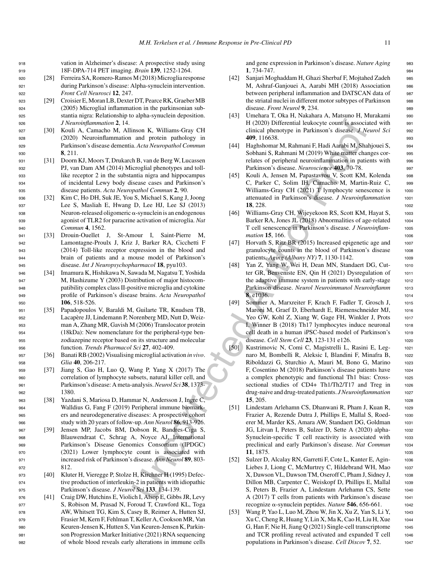<sup>918</sup> vation in Alzheimer's disease: A prospective study using <sup>919</sup> 18F-DPA-714 PET imaging. *Brain* **139**, 1252-1264.

- <sup>920</sup> [28] Ferreira SA, Romero-Ramos M (2018) Microglia response <sup>921</sup> during Parkinson's disease: Alpha-synuclein intervention. <sup>922</sup> *Front Cell Neurosci* **12**, 247.
- <sup>923</sup> [29] Croisier E, Moran LB, Dexter DT, Pearce RK, Graeber MB <sup>924</sup> (2005) Microglial inflammation in the parkinsonian sub-<sup>925</sup> stantia nigra: Relationship to alpha-synuclein deposition. <sup>926</sup> *J Neuroinflammation* **2**, 14.
- <sup>927</sup> [30] Kouli A, Camacho M, Allinson K, Williams-Gray CH <sup>928</sup> (2020) Neuroinflammation and protein pathology in <sup>929</sup> Parkinson's disease dementia. *Acta Neuropathol Commun* <sup>930</sup> **8**, 211.
- <sup>931</sup> [31] Doorn KJ, Moors T, Drukarch B, van de Berg W, Lucassen <sup>932</sup> PJ, van Dam AM (2014) Microglial phenotypes and toll-<sup>933</sup> like receptor 2 in the substantia nigra and hippocampus <sup>934</sup> of incidental Lewy body disease cases and Parkinson's <sup>935</sup> disease patients. *Acta Neuropathol Commun* **2**, 90.
- <sup>936</sup> [32] Kim C, Ho DH, Suk JE, You S, Michael S, Kang J, Joong <sup>937</sup> Lee S, Masliah E, Hwang D, Lee HJ, Lee SJ (2013)  $938$  Neuron-released oligomeric  $\alpha$ -synuclein is an endogenous <sup>939</sup> agonist of TLR2 for paracrine activation of microglia. *Nat* <sup>940</sup> *Commun* **4**, 1562.
- <sup>941</sup> [33] Drouin-Ouellet J, St-Amour I, Saint-Pierre M, <sup>942</sup> Lamontagne-Proulx J, Kriz J, Barker RA, Cicchetti F <sup>943</sup> (2014) Toll-like receptor expression in the blood and <sup>944</sup> brain of patients and a mouse model of Parkinson's <sup>945</sup> disease. *Int J Neuropsychopharmacol* **18**, pyu103.
- <sup>946</sup> [34] Imamura K, Hishikawa N, Sawada M, Nagatsu T, Yoshida <sup>947</sup> M, Hashizume Y (2003) Distribution of major histocom-<sup>948</sup> patibility complex class II-positive microglia and cytokine <sup>949</sup> profile of Parkinson's disease brains. *Acta Neuropathol* <sup>950</sup> **106**, 518-526.
- <sup>951</sup> [35] Papadopoulos V, Baraldi M, Guilarte TR, Knudsen TB, 952 Lacapère JJ, Lindemann P, Norenberg MD, Nutt D, Weiz-<sup>953</sup> man A, Zhang MR, Gavish M (2006) Translocator protein <sup>954</sup> (18kDa): New nomenclature for the peripheral-type ben-<sup>955</sup> zodiazepine receptor based on its structure and molecular <sup>956</sup> function. *Trends Pharmacol Sci* **27**, 402-409.
- <sup>957</sup> [36] Banati RB (2002) Visualising microglial activation *in vivo*. <sup>958</sup> *Glia* **40**, 206-217.
- <sup>959</sup> [37] Jiang S, Gao H, Luo Q, Wang P, Yang X (2017) The <sup>960</sup> correlation of lymphocyte subsets, natural killer cell, and <sup>961</sup> Parkinson's disease: A meta-analysis.*Neurol Sci* **38**, 1373- <sup>962</sup> 1380.
- <sup>963</sup> [38] Yazdani S, Mariosa D, Hammar N, Andersson J, Ingre C, <sup>964</sup> Walldius G, Fang F (2019) Peripheral immune biomark-<sup>965</sup> ers and neurodegenerative diseases: A prospective cohort <sup>966</sup> study with 20 years of follow-up. *Ann Neurol* **86**, 913-926.
- <sup>967</sup> [39] Jensen MP, Jacobs BM, Dobson R, Bandres-Ciga S, <sup>968</sup> Blauwendraat C, Schrag A, Noyce AJ, International <sup>969</sup> Parkinson's Disease Genomics Consortium (IPDGC) <sup>970</sup> (2021) Lower lymphocyte count is associated with <sup>971</sup> increased risk of Parkinson's disease. *Ann Neurol* **89**, 803- <sup>972</sup> 812.
- <sup>973</sup> [40] Kluter H, Vieregge P, Stolze H, Kirchner H (1995) Defec-<sup>974</sup> tive production of interleukin-2 in patients with idiopathic <sup>975</sup> Parkinson's disease. *J Neurol Sci* **133**, 134-139.
- <sup>976</sup> [41] Craig DW, Hutchins E, Violich I, Alsop E, Gibbs JR, Levy 977 S, Robison M, Prasad N, Foroud T, Crawford KL, Toga <sup>978</sup> AW, Whitsett TG, Kim S, Casey B, Reimer A, Hutten SJ, <sup>979</sup> Frasier M, Kern F, Fehlman T, Keller A, Cookson MR, Van <sup>980</sup> Keuren-Jensen K, Hutten S, Van Keuren-Jensen K, Parkin-<sup>981</sup> son Progression Marker Initiative (2021) RNA sequencing <sup>982</sup> of whole blood reveals early alterations in immune cells

and gene expression in Parkinson's disease. *Nature Aging* 983 **1**, 734-747. <sup>984</sup>

- [42] Sanjari Moghaddam H, Ghazi Sherbaf F, Mojtahed Zadeh <sup>985</sup> M, Ashraf-Ganjouei A, Aarabi MH (2018) Association 986 between peripheral inflammation and DATSCAN data of 987 the striatal nuclei in different motor subtypes of Parkinson 988 disease. *Front Neurol* **9**, 234. <sup>989</sup>
- [43] Umehara T, Oka H, Nakahara A, Matsuno H, Murakami <sup>990</sup> H (2020) Differential leukocyte count is associated with 991 clinical phenotype in Parkinson's disease. *J Neurol Sci* <sup>992</sup> **409**, 116638. <sup>993</sup>
- [44] Haghshomar M, Rahmani F, Hadi Aarabi M, Shahjouei S, <sup>994</sup> Sobhani S, Rahmani M (2019) White matter changes cor- 995 relates of peripheral neuroinflammation in patients with 996 Parkinson's disease. *Neuroscience* 403, 70-78. 997
- [45] Kouli A, Jensen M, Papastavrou V, Scott KM, Kolenda 998 C, Parker C, Solim IH, Camacho M, Martin-Ruiz C, <sup>999</sup> Williams-Gray CH (2021) T lymphocyte senescence is 1000 attenuated in Parkinson's disease. *J Neuroinflammation* <sup>1001</sup> **18**, 228. <sup>1002</sup>
- [46] Williams-Gray CH, Wijeyekoon RS, Scott KM, Hayat S, 1003 Barker RA, Jones JL (2018) Abnormalities of age-related 1004 T cell senescence in Parkinson's disease. *J Neuroinflam-* <sup>1005</sup> *mation* **15**, 166. 1006
- [47] Horvath S, Ritz BR (2015) Increased epigenetic age and <sup>1007</sup> granulocyte counts in the blood of Parkinson's disease 1008 patients. *Aging (Albany NY)* **7**, 1130-1142. <sup>1009</sup>
- [48] Yan Z, Yang W, Wei H, Dean MN, Standaert DG, Cut- <sup>1010</sup> ter GR, Benveniste EN, Qin H (2021) Dysregulation of 1011 the adaptive immune system in patients with early-stage 1012 Parkinson disease. *Neurol Neuroimmunol Neuroinflamm* <sup>1013</sup> **8**, e1036. <sup>1014</sup>
- [49] Sommer A, Marxreiter F, Krach F, Fadler T, Grosch J, <sup>1015</sup> Maroni M, Graef D, Eberhardt E, Riemenschneider MJ, 1016 Yeo GW, Kohl Z, Xiang W, Gage FH, Winkler J, Prots 1017 I, Winner B (2018) Th17 lymphocytes induce neuronal 1018 cell death in a human iPSC-based model of Parkinson's 1019 disease. *Cell Stem Cell* 23, 123-131 e126. 1020
- The matrix of the Hall (2020) Differential leads of the matrix and proton in the same the same of the matrix and the same of the matrix and the same of the matrix and the same of the same of the matrix and the same of the [50] Kustrimovic N, Comi C, Magistrelli L, Rasini E, Leg- <sup>1021</sup> naro M, Bombelli R, Aleksic I, Blandini F, Minafra B, <sup>1022</sup> Riboldazzi G, Sturchio A, Mauri M, Bono G, Marino <sup>1023</sup> F, Cosentino M (2018) Parkinson's disease patients have 1024 a complex phenotypic and functional Th1 bias: Cross- <sup>1025</sup> sectional studies of CD4+ Th1/Th2/T17 and Treg in 1026 drug-naive and drug-treated patients. *J Neuroinflammation* <sup>1027</sup> **15**, 205. 1028
	- [51] Lindestam Arlehamn CS, Dhanwani R, Pham J, Kuan R, 1029 Frazier A, Rezende Dutra J, Phillips E, Mallal S, Roed- <sup>1030</sup> erer M, Marder KS, Amara AW, Standaert DG, Goldman 1031 JG, Litvan I, Peters B, Sulzer D, Sette A (2020) alpha- <sup>1032</sup> Synuclein-specific T cell reactivity is associated with 1033 preclinical and early Parkinson's disease. *Nat Commun* <sup>1034</sup> **11**, 1875. 1035
	- [52] Sulzer D, Alcalay RN, Garretti F, Cote L, Kanter E, Agin-<br>1036 Liebes J, Liong C, McMurtrey C, Hildebrand WH, Mao 1037 X, Dawson VL, Dawson TM, Oseroff C, Pham J, Sidney J, 1038 Dillon MB, Carpenter C, Weiskopf D, Phillips E, Mallal 1039 S, Peters B, Frazier A, Lindestam Arlehamn CS, Sette <sup>1040</sup> A (2017) T cells from patients with Parkinson's disease 1041 recognize α-synuclein peptides. *Nature* **546**, 656-661. 1042
	- [53] Wang P, Yao L, Luo M, Zhou W, Jin X, Xu Z, Yan S, Li Y, 1043 Xu C, Cheng R, Huang Y, Lin X, Ma K, Cao H, Liu H, Xue <sup>1044</sup> G, Han F, Nie H, Jiang Q (2021) Single-cell transcriptome 1045 and TCR profiling reveal activated and expanded T cell 1046 populations in Parkinson's disease. *Cell Discov* **7**, 52. <sup>1047</sup>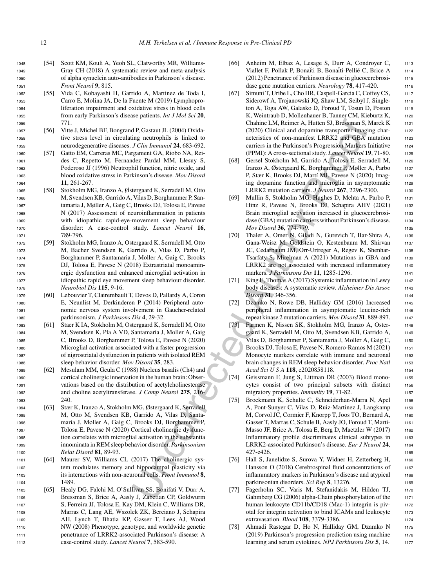- <sup>1048</sup> [54] Scott KM, Kouli A, Yeoh SL, Clatworthy MR, Williams-<sup>1049</sup> Gray CH (2018) A systematic review and meta-analysis <sup>1050</sup> of alpha synuclein auto-antibodies in Parkinson's disease. <sup>1051</sup> *Front Neurol* **9**, 815.
- <sup>1052</sup> [55] Vida C, Kobayashi H, Garrido A, Martinez de Toda I, <sup>1053</sup> Carro E, Molina JA, De la Fuente M (2019) Lymphopro-<sup>1054</sup> liferation impairment and oxidative stress in blood cells <sup>1055</sup> from early Parkinson's disease patients. *Int J Mol Sci* **20**, <sup>1056</sup> 771.
- <sup>1057</sup> [56] Vitte J, Michel BF, Bongrand P, Gastaut JL (2004) Oxida-<sup>1058</sup> tive stress level in circulating neutrophils is linked to <sup>1059</sup> neurodegenerative diseases. *J Clin Immunol* **24**, 683-692.
- <sup>1060</sup> [57] Gatto EM, Carreras MC, Pargament GA, Riobo NA, Rei-<sup>1061</sup> des C, Repetto M, Fernandez Pardal MM, Llesuy S, <sup>1062</sup> Poderoso JJ (1996) Neutrophil function, nitric oxide, and <sup>1063</sup> blood oxidative stress in Parkinson's disease. *Mov Disord* <sup>1064</sup> **11**, 261-267.
- <sup>1065</sup> [58] Stokholm MG, Iranzo A, Østergaard K, Serradell M, Otto <sup>1066</sup> M, Svendsen KB, Garrido A, Vilas D, Borghammer P, San-<sup>1067</sup> tamaria J, Møller A, Gaig C, Brooks DJ, Tolosa E, Pavese <sup>1068</sup> N (2017) Assessment of neuroinflammation in patients <sup>1069</sup> with idiopathic rapid-eye-movement sleep behaviour <sup>1070</sup> disorder: A case-control study. *Lancet Neurol* **16**, <sup>1071</sup> 789-796.
- <sup>1072</sup> [59] Stokholm MG, Iranzo A, Ostergaard K, Serradell M, Otto <sup>1073</sup> M, Bacher Svendsen K, Garrido A, Vilas D, Parbo P, <sup>1074</sup> Borghammer P, Santamaria J, Moller A, Gaig C, Brooks <sup>1075</sup> DJ, Tolosa E, Pavese N (2018) Extrastriatal monoamin-<sup>1076</sup> ergic dysfunction and enhanced microglial activation in <sup>1077</sup> idiopathic rapid eye movement sleep behaviour disorder. <sup>1078</sup> *Neurobiol Dis* **115**, 9-16.
- <sup>1079</sup> [60] Lebouvier T, Clairembault T, Devos D, Pallardy A, Coron <sup>1080</sup> E, Neunlist M, Derkinderen P (2014) Peripheral auto-<sup>1081</sup> nomic nervous system involvement in Gaucher-related <sup>1082</sup> parkinsonism. *J Parkinsons Dis* **4**, 29-32.
- <sup>1083</sup> [61] Staer K IA, Stokholm M, Ostergaard K, Serradell M, Otto <sup>1084</sup> M, Svendsen K, Pla A VD, Santamaria J, Moller A, Gaig <sup>1085</sup> C, Brooks D, Borghammer P, Tolosa E, Pavese N (2020) <sup>1086</sup> Microglial activation associated with a faster progression <sup>1087</sup> of nigrostriatal dysfunction in patients with isolated REM <sup>1088</sup> sleep behavior disorder. *Mov Disord* **35**, 283.
- <sup>1089</sup> [62] Mesulam MM, Geula C (1988) Nucleus basalis (Ch4) and <sup>1090</sup> cortical cholinergic innervation in the human brain: Obser-<sup>1091</sup> vations based on the distribution of acetylcholinesterase <sup>1092</sup> and choline acetyltransferase. *J Comp Neurol* **275**, 216- <sup>1093</sup> 240.
- <sup>1094</sup> [63] Stær K, Iranzo A, Stokholm MG, Østergaard K, Serradell <sup>1095</sup> M, Otto M, Svendsen KB, Garrido A, Vilas D, Santa-<sup>1096</sup> maria J, Møller A, Gaig C, Brooks DJ, Borghammer P, <sup>1097</sup> Tolosa E, Pavese N (2020) Cortical cholinergic dysfunc-<sup>1098</sup> tion correlates with microglial activation in the substantia <sup>1099</sup> innominata in REM sleep behavior disorder. *Parkinsonism* <sup>1100</sup> *Relat Disord* **81**, 89-93.
- <sup>1101</sup> [64] Maurer SV, Williams CL (2017) The cholinergic sys-<sup>1102</sup> tem modulates memory and hippocampal plasticity via <sup>1103</sup> its interactions with non-neuronal cells. *Front Immunol* **8**, 1104 1489.
- <sup>1105</sup> [65] Healy DG, Falchi M, O'Sullivan SS, Bonifati V, Durr A, <sup>1106</sup> Bressman S, Brice A, Aasly J, Zabetian CP, Goldwurm <sup>1107</sup> S, Ferreira JJ, Tolosa E, Kay DM, Klein C, Williams DR, <sup>1108</sup> Marras C, Lang AE, Wszolek ZK, Berciano J, Schapira <sup>1109</sup> AH, Lynch T, Bhatia KP, Gasser T, Lees AJ, Wood <sup>1110</sup> NW (2008) Phenotype, genotype, and worldwide genetic <sup>1111</sup> penetrance of LRRK2-associated Parkinson's disease: A <sup>1112</sup> case-control study. *Lancet Neurol* **7**, 583-590.
- [66] Anheim M, Elbaz A, Lesage S, Durr A, Condroyer C, 1113 Viallet F, Pollak P, Bonaiti B, Bonaiti-Pellié C, Brice A 1114 (2012) Penetrance of Parkinson disease in glucocerebrosi- <sup>1115</sup> dase gene mutation carriers. *Neurology* **78**, 417-420. 1116
- [67] Simuni T, Uribe L, Cho HR, Caspell-Garcia C, Coffey CS, 1117 Siderowf A, Trojanowski JQ, Shaw LM, Seibyl J, Single- 1118 ton A, Toga AW, Galasko D, Foroud T, Tosun D, Poston 1119 K, Weintraub D, Mollenhauer B, Tanner CM, Kieburtz K, 1120 Chahine LM, Reimer A, Hutten SJ, Bressman S, Marek K 1121 (2020) Clinical and dopamine transporter imaging char- <sup>1122</sup> acteristics of non-manifest LRRK2 and GBA mutation 1123 carriers in the Parkinson's Progression Markers Initiative 1124 (PPMI): A cross-sectional study. *Lancet Neurol* **19**, 71-80. <sup>1125</sup>
- [68] Gersel Stokholm M, Garrido A, Tolosa E, Serradell M, 1126 Iranzo A, Østergaard K, Borghammer P, Møller A, Parbo <sup>1127</sup> P, Stær K, Brooks DJ, Martí MJ, Pavese N (2020) Imag- 1128 ing dopamine function and microglia in asymptomatic 1129 LRRK2 mutation carriers. *J Neurol* **267**, 2296-2300. <sup>1130</sup>
- [69] Mullin S, Stokholm MG, Hughes D, Mehta A, Parbo P, <sup>1131</sup> Hinz R, Pavese N, Brooks DJ, Schapira AHV (2021) 1132 Brain microglial activation increased in glucocerebrosi-<br>1133 dase (GBA) mutation carriers without Parkinson's disease. 1134 *Mov Disord* **36**, 774-779. 1135
- [70] Thaler A, Omer N, Giladi N, Gurevich T, Bar-Shira A, <sup>1136</sup> Gana-Weisz M, Goldstein O, Kestenbaum M, Shirvan 1137 JC, Cedarbaum JM, Orr-Urtreger A, Regev K, Shenhar- 1138 Tsarfaty S, Mirelman A (2021) Mutations in GBA and 1139 LRRK2 are not associated with increased inflammatory 1140 markers. *J Parkinsons Dis* **11**, 1285-1296. <sup>1141</sup>
- [71] King E, Thomas A (2017) Systemic inflammation in Lewy  $1142$ body diseases: A systematic review. *Alzheimer Dis Assoc* <sup>1143</sup> *Disord* **31**, 346-356. 1144
- [72] Dzamko N, Rowe DB, Halliday GM (2016) Increased 1145 peripheral inflammation in asymptomatic leucine-rich <sup>1146</sup> repeat kinase 2 mutation carriers. *Mov Disord* **31**, 889-897. <sup>1147</sup>
- [73] Farmen K, Nissen SK, Stokholm MG, Iranzo A, Oster- 1148 gaard K, Serradell M, Otto M, Svendsen KB, Garrido A, 1149 Vilas D, Borghammer P, Santamaria J, Moller A, Gaig C, 1150 Brooks DJ, Tolosa E, Pavese N, Romero-Ramos M (2021) 1151 Monocyte markers correlate with immune and neuronal 1152 brain changes in REM sleep behavior disorder. *Proc Natl* 1153 *Acad SciUSA* **118**, e2020858118. <sup>1154</sup>
- [74] Geissmann F, Jung S, Littman DR (2003) Blood mono- <sup>1155</sup> cytes consist of two principal subsets with distinct 1156 migratory properties. *Immunity* **19**, 71-82. 1157
- d P, Gastant II. (2004) Oxida-<br>
CO20) Clinical and dopamine transporter magnetic Automics). The state of the controllation and the particular and equilibrium in the particular and the controllation and the state of the me [75] Brockmann K, Schulte C, Schneiderhan-Marra N, Apel 1158 A, Pont-Sunyer C, Vilas D, Ruiz-Martinez J, Langkamp 1159 M, Corvol JC, Cormier F, Knorpp T, Joos TO, Bernard A, 1160 Gasser T, Marras C, Schule B, Aasly JO, Foroud T, Marti- <sup>1161</sup> Masso JF, Brice A, Tolosa E, Berg D, Maetzler W (2017) 1162 Inflammatory profile discriminates clinical subtypes in 1163 LRRK2-associated Parkinson's disease. *Eur J Neurol* **24**, <sup>1164</sup> 427-e426. <sup>1165</sup>
	- [76] Hall S, Janelidze S, Surova Y, Widner H, Zetterberg H, 1166 Hansson O (2018) Cerebrospinal fluid concentrations of 1167 inflammatory markers in Parkinson's disease and atypical 1168 parkinsonian disorders. *Sci Rep* 8, 13276. 1169
	- [77] Fagerholm SC, Varis M, Stefanidakis M, Hilden TJ, <sup>1170</sup> Gahmberg CG (2006) alpha-Chain phosphorylation of the 1171 human leukocyte CD11b/CD18 (Mac-1) integrin is piv-<br>1172 otal for integrin activation to bind ICAMs and leukocyte 1173 extravasation. *Blood* **108**, 3379-3386. <sup>1174</sup>
	- [78] Ahmadi Rastegar D, Ho N, Halliday GM, Dzamko N 1175  $(2019)$  Parkinson's progression prediction using machine  $1176$ learning and serum cytokines. *NPJ Parkinsons Dis* 5, 14. 1177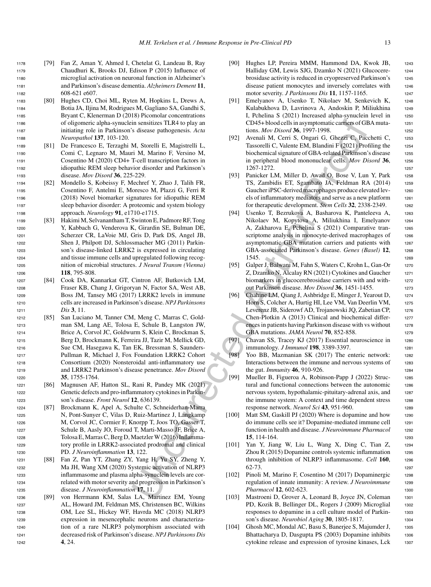- <sup>1178</sup> [79] Fan Z, Aman Y, Ahmed I, Chetelat G, Landeau B, Ray <sup>1179</sup> Chaudhuri K, Brooks DJ, Edison P (2015) Influence of <sup>1180</sup> microglial activation on neuronal function in Alzheimer's <sup>1181</sup> and Parkinson's disease dementia. *Alzheimers Dement* **11**, 1182 608-621 e607.
- <sup>1183</sup> [80] Hughes CD, Choi ML, Ryten M, Hopkins L, Drews A, <sup>1184</sup> Botia JA, Iljina M, Rodrigues M, Gagliano SA, Gandhi S, <sup>1185</sup> Bryant C, Klenerman D (2018) Picomolar concentrations <sup>1186</sup> of oligomeric alpha-synuclein sensitizes TLR4 to play an <sup>1187</sup> initiating role in Parkinson's disease pathogenesis. *Acta* <sup>1188</sup> *Neuropathol* **137**, 103-120.
- <sup>1189</sup> [81] De Francesco E, Terzaghi M, Storelli E, Magistrelli L, <sup>1190</sup> Comi C, Legnaro M, Mauri M, Marino F, Versino M, <sup>1191</sup> Cosentino M (2020) CD4+ T-cell transcription factors in <sup>1192</sup> idiopathic REM sleep behavior disorder and Parkinson's <sup>1193</sup> disease. *Mov Disord* **36**, 225-229.
- <sup>1194</sup> [82] Mondello S, Kobeissy F, Mechref Y, Zhao J, Talih FR, <sup>1195</sup> Cosentino F, Antelmi E, Moresco M, Plazzi G, Ferri R <sup>1196</sup> (2018) Novel biomarker signatures for idiopathic REM <sup>1197</sup> sleep behavior disorder: A proteomic and system biology <sup>1198</sup> approach. *Neurology* **91**, e1710-e1715.
- <sup>1199</sup> [83] Hakimi M, Selvanantham T, Swinton E, Padmore RF, Tong <sup>1200</sup> Y, Kabbach G, Venderova K, Girardin SE, Bulman DE, <sup>1201</sup> Scherzer CR, LaVoie MJ, Gris D, Park DS, Angel JB, <sup>1202</sup> Shen J, Philpott DJ, Schlossmacher MG (2011) Parkin-<sup>1203</sup> son's disease-linked LRRK2 is expressed in circulating <sup>1204</sup> and tissue immune cells and upregulated following recog-<sup>1205</sup> nition of microbial structures. *J Neural Transm (Vienna)* <sup>1206</sup> **118**, 795-808.
- <sup>1207</sup> [84] Cook DA, Kannarkat GT, Cintron AF, Butkovich LM, <sup>1208</sup> Fraser KB, Chang J, Grigoryan N, Factor SA, West AB, <sup>1209</sup> Boss JM, Tansey MG (2017) LRRK2 levels in immune <sup>1210</sup> cells are increased in Parkinson's disease. *NPJ Parkinsons* <sup>1211</sup> *Dis* **3**, 11.
- <sup>1212</sup> [85] San Luciano M, Tanner CM, Meng C, Marras C, Gold-<sup>1213</sup> man SM, Lang AE, Tolosa E, Schule B, Langston JW, <sup>1214</sup> Brice A, Corvol JC, Goldwurm S, Klein C, Brockman S, <sup>1215</sup> Berg D, Brockmann K, Ferreira JJ, Tazir M, Mellick GD, <sup>1216</sup> Sue CM, Hasegawa K, Tan EK, Bressman S, Saunders-<sup>1217</sup> Pullman R, Michael J, Fox Foundation LRRK2 Cohort <sup>1218</sup> Consortium (2020) Nonsteroidal anti-inflammatory use <sup>1219</sup> and LRRK2 Parkinson's disease penetrance. *Mov Disord* <sup>1220</sup> **35**, 1755-1764.
- <sup>1221</sup> [86] Magnusen AF, Hatton SL, Rani R, Pandey MK (2021) <sup>1222</sup> Genetic defects and pro-inflammatory cytokines in Parkin-<sup>1223</sup> son's disease. *Front Neurol* **12**, 636139.
- <sup>1224</sup> [87] Brockmann K, Apel A, Schulte C, Schneiderhan-Marra <sup>1225</sup> N, Pont-Sunyer C, Vilas D, Ruiz-Martinez J, Langkamp <sup>1226</sup> M, Corvol JC, Cormier F, Knorpp T, Joos TO, Gasser T, <sup>1227</sup> Schule B, Aasly JO, Foroud T, Marti-Masso JF, Brice A, <sup>1228</sup> Tolosa E, Marras C, Berg D, Maetzler W (2016) Inflamma-<sup>1229</sup> tory profile in LRRK2-associated prodromal and clinical <sup>1230</sup> PD. *J Neuroinflammation* **13**, 122.
- <sup>1231</sup> [88] Fan Z, Pan YT, Zhang ZY, Yang H, Yu SY, Zheng Y, <sup>1232</sup> Ma JH, Wang XM (2020) Systemic activation of NLRP3 <sup>1233</sup> inflammasome and plasma alpha-synuclein levels are cor-<sup>1234</sup> related with motor severity and progression in Parkinson's <sup>1235</sup> disease. *J Neuroinflammation* **17**, 11.
- <sup>1236</sup> [89] von Herrmann KM, Salas LA, Martinez EM, Young <sup>1237</sup> AL, Howard JM, Feldman MS, Christensen BC, Wilkins <sup>1238</sup> OM, Lee SL, Hickey WF, Havrda MC (2018) NLRP3 <sup>1239</sup> expression in mesencephalic neurons and characteriza-<sup>1240</sup> tion of a rare NLRP3 polymorphism associated with <sup>1241</sup> decreased risk of Parkinson's disease. *NPJ Parkinsons Dis* <sup>1242</sup> **4**, 24.
- [90] Hughes LP, Pereira MMM, Hammond DA, Kwok JB, 1243 Halliday GM, Lewis SJG, Dzamko N (2021) Glucocere- <sup>1244</sup> brosidase activity is reduced in cryopreserved Parkinson's <sup>1245</sup> disease patient monocytes and inversely correlates with <sup>1246</sup> motor severity. *J Parkinsons Dis* **11**, 1157-1165. <sup>1247</sup>
- [91] Emelyanov A, Usenko T, Nikolaev M, Senkevich K, <sup>1248</sup> Kulabukhova D, Lavrinova A, Andoskin P, Miliukhina <sup>1249</sup> I, Pchelina S (2021) Increased alpha-synuclein level in 1250 CD45+ blood cells in asymptomatic carriers of GBA muta- <sup>1251</sup> tions. *Mov Disord* **36**, 1997-1998. <sup>1252</sup>
- [92] Avenali M, Cerri S, Ongari G, Ghezzi C, Pacchetti C, <sup>1253</sup> Tassorelli C, Valente EM, Blandini F (2021) Profiling the <sup>1254</sup> biochemical signature of GBA-related Parkinson's disease 1255 in peripheral blood mononuclear cells. *Mov Disord* 36, 1256 1267-1272. <sup>1257</sup>
- [93] Panicker LM, Miller D, Awad O, Bose V, Lun Y, Park 1258 TS, Zambidis ET, Sgambato JA, Feldman RA (2014) <sup>1259</sup> Gaucher iPSC-derived macrophages produce elevated lev-<br>1260 els of inflammatory mediators and serve as a new platform <sup>1261</sup> for therapeutic development. *Stem Cells* **32**, 2338-2349. <sup>1262</sup>
- in semitizes TLRA to play and CDM and CDM in the contents and the contents of the contents and contents and contents and contents and contents and contents and contents and contents and contents and contents and contents [94] Usenko T, Bezrukova A, Basharova K, Panteleeva A, <sup>1263</sup> Nikolaev M, Kopytova A, Miliukhina I, Emelyanov <sup>1264</sup> A, Zakharova E, Pchelina S (2021) Comparative tran- <sup>1265</sup> scriptome analysis in monocyte-derived macrophages of 1266 asymptomatic GBA mutation carriers and patients with <sup>1267</sup> GBA-associated Parkinson's disease. *Genes (Basel)* **12**, <sup>1268</sup> 1545. 1269
	- [95] Galper J, Balwani M, Fahn S, Waters C, Krohn L, Gan-Or 1270 Z, Dzamko N, Alcalay RN (2021) Cytokines and Gaucher 1271 biomarkers in glucocerebrosidase carriers with and with-<br>1272 out Parkinson disease. *Mov Disord* **36**, 1451-1455. <sup>1273</sup>
	- [96] Chahine LM, Qiang J, Ashbridge E, Minger J, Yearout D, 1274 Horn S, Colcher A, Hurtig HI, Lee VM, Van Deerlin VM, 1275 Leverenz JB, Siderowf AD, Trojanowski JQ, Zabetian CP, 1276 Chen-Plotkin A (2013) Clinical and biochemical differ- <sup>1277</sup> ences in patients having Parkinson disease with vs without 1278 GBA mutations. *JAMA Neurol* **70**, 852-858. 1279
	- [97] Chavan SS, Tracey KJ (2017) Essential neuroscience in 1280 immunology. *J Immunol* **198**, 3389-3397. <sup>1281</sup>
	- [98] Yoo BB, Mazmanian SK (2017) The enteric network: <sup>1282</sup> Interactions between the immune and nervous systems of 1283 the gut. *Immunity* **46**, 910-926. <sup>1284</sup>
	- [99] Mueller B, Figueroa A, Robinson-Papp J (2022) Struc- <sup>1285</sup> tural and functional connections between the autonomic 1286 nervous system, hypothalamic-pituitary-adrenal axis, and 1287 the immune system: A context and time dependent stress 1288 response network. *Neurol Sci* **43**, 951-960. <sup>1289</sup>
	- [100] Matt SM, Gaskill PJ (2020) Where is dopamine and how 1290 do immune cells see it? Dopamine-mediated immune cell 1291 function in health and disease. *J Neuroimmune Pharmacol* <sup>1292</sup> **15**, 114-164. <sup>1293</sup>
	- [101] Yan Y, Jiang W, Liu L, Wang X, Ding C, Tian Z, <sup>1294</sup> Zhou R (2015) Dopamine controls systemic inflammation 1295 through inhibition of NLRP3 inflammasome. *Cell* **160**, <sup>1296</sup> 62-73. <sup>1297</sup>
	- [102] Pinoli M, Marino F, Cosentino M (2017) Dopaminergic 1298 regulation of innate immunity: A review. *J Neuroimmune* <sup>1299</sup> *Pharmacol* **12**, 602-623. <sup>1300</sup>
	- [103] Mastroeni D, Grover A, Leonard B, Joyce JN, Coleman 1301 PD, Kozik B, Bellinger DL, Rogers J (2009) Microglial 1302 responses to dopamine in a cell culture model of Parkin- <sup>1303</sup> son's disease. *Neurobiol Aging* **30**, 1805-1817. <sup>1304</sup>
	- [104] Ghosh MC, Mondal AC, Basu S, Banerjee S, Majumder J, 1305 Bhattacharya D, Dasgupta PS (2003) Dopamine inhibits 1306 cytokine release and expression of tyrosine kinases, Lck 1307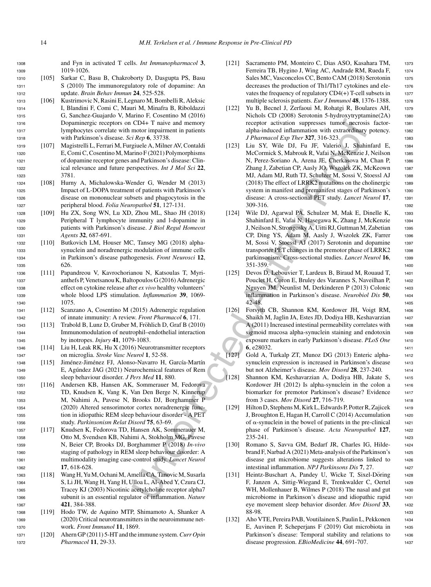<sup>1308</sup> and Fyn in activated T cells. *Int Immunopharmacol* **3**, <sup>1309</sup> 1019-1026.

- <sup>1310</sup> [105] Sarkar C, Basu B, Chakroborty D, Dasgupta PS, Basu <sup>1311</sup> S (2010) The immunoregulatory role of dopamine: An <sup>1312</sup> update. *Brain Behav Immun* **24**, 525-528.
- <sup>1313</sup> [106] Kustrimovic N, Rasini E, Legnaro M, Bombelli R, Aleksic <sup>1314</sup> I, Blandini F, Comi C, Mauri M, Minafra B, Riboldazzi <sup>1315</sup> G, Sanchez-Guajardo V, Marino F, Cosentino M (2016) <sup>1316</sup> Dopaminergic receptors on CD4+ T naive and memory <sup>1317</sup> lymphocytes correlate with motor impairment in patients <sup>1318</sup> with Parkinson's disease. *Sci Rep* **6**, 33738.
- <sup>1319</sup> [107] Magistrelli L, Ferrari M, Furgiuele A, Milner AV, Contaldi <sup>1320</sup> E, Comi C, Cosentino M, Marino F (2021) Polymorphisms <sup>1321</sup> of dopamine receptor genes and Parkinson's disease: Clin-<sup>1322</sup> ical relevance and future perspectives. *Int J Mol Sci* **22**, <sup>1323</sup> 3781.
- <sup>1324</sup> [108] Hurny A, Michalowska-Wender G, Wender M (2013) <sup>1325</sup> Impact of L-DOPA treatment of patients with Parkinson's <sup>1326</sup> disease on mononuclear subsets and phagocytosis in the <sup>1327</sup> peripheral blood. *Folia Neuropathol* **51**, 127-131.
- <sup>1328</sup> [109] Hu ZX, Song WN, Lu XD, Zhou ML, Shao JH (2018) <sup>1329</sup> Peripheral T lymphocyte immunity and l-dopamine in <sup>1330</sup> patients with Parkinson's disease. *J Biol Regul Homeost* <sup>1331</sup> *Agents* **32**, 687-691.
- <sup>1332</sup> [110] Butkovich LM, Houser MC, Tansey MG (2018) alpha-<sup>1333</sup> synuclein and noradrenergic modulation of immune cells <sup>1334</sup> in Parkinson's disease pathogenesis. *Front Neurosci* **12**, <sup>1335</sup> 626.
- <sup>1336</sup> [111] Papandreou V, Kavrochorianou N, Katsoulas T, Myri-<sup>1337</sup> anthefs P, Venetsanou K, Baltopoulos G (2016) Adrenergic <sup>1338</sup> effect on cytokine release after *ex vivo* healthy volunteers' <sup>1339</sup> whole blood LPS stimulation. *Inflammation* **39**, 1069- <sup>1340</sup> 1075.
- <sup>1341</sup> [112] Scanzano A, Cosentino M (2015) Adrenergic regulation <sup>1342</sup> of innate immunity: A review. *Front Pharmacol* **6**, 171.
- 1343 [113] Trabold B, Lunz D, Gruber M, Fröhlich D, Graf B (2010) <sup>1344</sup> Immunomodulation of neutrophil–endothelial interaction <sup>1345</sup> by inotropes. *Injury* **41**, 1079-1083.
- <sup>1346</sup> [114] Liu H, Leak RK, Hu X (2016) Neurotransmitter receptors <sup>1347</sup> on microglia. *Stroke Vasc Neurol* **1**, 52-58.
- 1348 [115] Jiménez-Jiménez FJ, Alonso-Navarro H, García-Martín <sup>1349</sup> E, Agundez JAG (2021) Neurochemical features of Rem ´ <sup>1350</sup> sleep behaviour disorder. *J Pers Med* **11**, 880.
- <sup>1351</sup> [116] Andersen KB, Hansen AK, Sommerauer M, Fedorova <sup>1352</sup> TD, Knudsen K, Vang K, Van Den Berge N, Kinnerup <sup>1353</sup> M, Nahimi A, Pavese N, Brooks DJ, Borghammer P <sup>1354</sup> (2020) Altered sensorimotor cortex noradrenergic func-<sup>1355</sup> tion in idiopathic REM sleep behaviour disorder - A PET <sup>1356</sup> study. *Parkinsonism Relat Disord* **75**, 63-69.
- <sup>1357</sup> [117] Knudsen K, Fedorova TD, Hansen AK, Sommerauer M, <sup>1358</sup> Otto M, Svendsen KB, Nahimi A, Stokholm MG, Pavese <sup>1359</sup> N, Beier CP, Brooks DJ, Borghammer P (2018) *In-vivo* <sup>1360</sup> staging of pathology in REM sleep behaviour disorder: A <sup>1361</sup> multimodality imaging case-control study. *Lancet Neurol* <sup>1362</sup> **17**, 618-628.
- <sup>1363</sup> [118] Wang H, Yu M, Ochani M, Amella CA, Tanovic M, Susarla <sup>1364</sup> S, Li JH, Wang H, Yang H, Ulloa L, Al-Abed Y, Czura CJ, <sup>1365</sup> Tracey KJ (2003) Nicotinic acetylcholine receptor alpha7 <sup>1366</sup> subunit is an essential regulator of inflammation. *Nature* <sup>1367</sup> **421**, 384-388.
- <sup>1368</sup> [119] Hodo TW, de Aquino MTP, Shimamoto A, Shanker A <sup>1369</sup> (2020) Critical neurotransmitters in the neuroimmune net-<sup>1370</sup> work. *Front Immunol* **11**, 1869.
- <sup>1371</sup> [120] Ahern GP (2011) 5-HT and the immune system.*Curr Opin* <sup>1372</sup> *Pharmacol* **11**, 29-33.
- [121] Sacramento PM, Monteiro C, Dias ASO, Kasahara TM, 1373 Ferreira TB, Hygino J, Wing AC, Andrade RM, Rueda F, 1374 Sales MC, Vasconcelos CC, Bento CAM (2018) Serotonin 1375 decreases the production of Th1/Th17 cytokines and ele-<br>1376 vates the frequency of regulatory  $CD4(+)$  T-cell subsets in  $1377$ multiple sclerosis patients. *Eur J Immunol* 48, 1376-1388. 1378
- [122] Yu B, Becnel J, Zerfaoui M, Rohatgi R, Boulares AH, 1379 Nichols CD (2008) Serotonin 5-hydroxytryptamine(2A) 1380 receptor activation suppresses tumor necrosis factor- <sup>1381</sup> alpha-induced inflammation with extraordinary potency. 1382 *J Pharmacol Exp Ther* **327**, 316-323. 1383
- CD4+ T naive and memoir respect accessive muon mechanic increases (more function and the method information with care and the spectra and the spectra and the spectra and the spectra and the spectra and the spectra and the [123] Liu SY, Wile DJ, Fu JF, Valerio J, Shahinfard E, <sup>1384</sup> McCormick S, Mabrouk R, Vafai N, McKenzie J, Neilson 1385 N, Perez-Soriano A, Arena JE, Cherkasova M, Chan P, <sup>1386</sup> Zhang J, Zabetian CP, Aasly JO, Wszolek ZK, McKeown <sup>1387</sup> MJ, Adam MJ, Ruth TJ, Schulzer M, Sossi V, Stoessl AJ 1388 (2018) The effect of LRRK2 mutations on the cholinergic 1389 system in manifest and premanifest stages of Parkinson's 1390 disease: A cross-sectional PET study. *Lancet Neurol* **17**, <sup>1391</sup> 309-316. <sup>1392</sup>
	- [124] Wile DJ, Agarwal PA, Schulzer M, Mak E, Dinelle K, 1393 Shahinfard E, Vafai N, Hasegawa K, Zhang J, McKenzie 1394 J, Neilson N, Strongosky A, Uitti RJ, Guttman M, Zabetian 1395 CP, Ding YS, Adam M, Aasly J, Wszolek ZK, Farrer <sup>1396</sup> M, Sossi V, Stoessl AJ (2017) Serotonin and dopamine 1397 transporter PET changes in the premotor phase of LRRK2 1398 parkinsonism: Cross-sectional studies. *Lancet Neurol* 16, 1399 351-359. <sup>1400</sup>
	- [125] Devos D, Lebouvier T, Lardeux B, Biraud M, Rouaud T, 1401 Pouclet H, Coron E, Bruley des Varannes S, Naveilhan P, <sup>1402</sup> Nguyen JM, Neunlist M, Derkinderen P (2013) Colonic <sup>1403</sup> inflammation in Parkinson's disease. *Neurobiol Dis* **50**, <sup>1404</sup> 42-48. <sup>1405</sup>
	- [126] Forsyth CB, Shannon KM, Kordower JH, Voigt RM, <sup>1406</sup> Shaikh M, Jaglin JA, Estes JD, Dodiya HB, Keshavarzian <sup>1407</sup> A (2011) Increased intestinal permeability correlates with 1408 sigmoid mucosa alpha-synuclein staining and endotoxin 1409 exposure markers in early Parkinson's disease. *PLoS One* <sup>1410</sup> **6**, e28032. <sup>1411</sup>
	- [127] Gold A, Turkalp ZT, Munoz DG (2013) Enteric alpha- <sup>1412</sup> synuclein expression is increased in Parkinson's disease 1413 but not Alzheimer's disease. *Mov Disord* **28**, 237-240. <sup>1414</sup>
	- [128] Shannon KM, Keshavarzian A, Dodiya HB, Jakate S, <sup>1415</sup> Kordower JH (2012) Is alpha-synuclein in the colon a 1416 biomarker for premotor Parkinson's disease? Evidence 1417 from 3 cases. *Mov Disord* **27**, 716-719. <sup>1418</sup>
	- [129] Hilton D, Stephens M, Kirk L, Edwards P, Potter R, Zajicek 1419 J, Broughton E, Hagan H, Carroll C (2014) Accumulation 1420 of  $\alpha$ -synuclein in the bowel of patients in the pre-clinical 1421 phase of Parkinson's disease. *Acta Neuropathol* **127**, <sup>1422</sup> 235-241. <sup>1423</sup>
	- [130] Romano S, Savva GM, Bedarf JR, Charles IG, Hilde- 1424 brand F, Narbad A (2021) Meta-analysis of the Parkinson's 1425 disease gut microbiome suggests alterations linked to 1426 intestinal inflammation. *NPJ Parkinsons Dis* 7, 27. 1427
	- [131] Heintz-Buschart A, Pandey U, Wicke T, Sixel-Döring 1428 F, Janzen A, Sittig-Wiegand E, Trenkwalder C, Oertel 1429 WH, Mollenhauer B, Wilmes P (2018) The nasal and gut 1430 microbiome in Parkinson's disease and idiopathic rapid <sup>1431</sup> eye movement sleep behavior disorder. *Mov Disord* **33**, <sup>1432</sup> 88-98. <sup>1433</sup>
	- [132] Aho VTE, Pereira PAB, Voutilainen S, Paulin L, Pekkonen <sup>1434</sup> E, Auvinen P, Scheperjans F (2019) Gut microbiota in 1435 Parkinson's disease: Temporal stability and relations to 1436 disease progression. *EBioMedicine* **44**, 691-707. <sup>1437</sup>